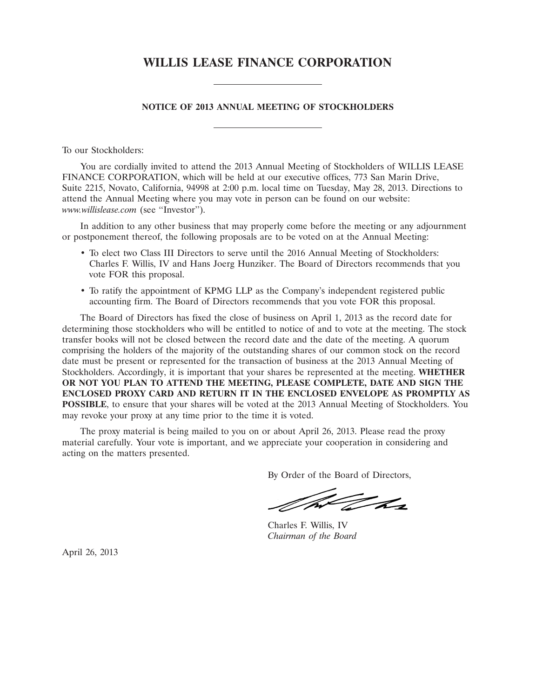# **WILLIS LEASE FINANCE CORPORATION**

### **NOTICE OF 2013 ANNUAL MEETING OF STOCKHOLDERS**

To our Stockholders:

You are cordially invited to attend the 2013 Annual Meeting of Stockholders of WILLIS LEASE FINANCE CORPORATION, which will be held at our executive offices, 773 San Marin Drive, Suite 2215, Novato, California, 94998 at 2:00 p.m. local time on Tuesday, May 28, 2013. Directions to attend the Annual Meeting where you may vote in person can be found on our website: *www.willislease.com* (see ''Investor'').

In addition to any other business that may properly come before the meeting or any adjournment or postponement thereof, the following proposals are to be voted on at the Annual Meeting:

- To elect two Class III Directors to serve until the 2016 Annual Meeting of Stockholders: Charles F. Willis, IV and Hans Joerg Hunziker. The Board of Directors recommends that you vote FOR this proposal.
- To ratify the appointment of KPMG LLP as the Company's independent registered public accounting firm. The Board of Directors recommends that you vote FOR this proposal.

The Board of Directors has fixed the close of business on April 1, 2013 as the record date for determining those stockholders who will be entitled to notice of and to vote at the meeting. The stock transfer books will not be closed between the record date and the date of the meeting. A quorum comprising the holders of the majority of the outstanding shares of our common stock on the record date must be present or represented for the transaction of business at the 2013 Annual Meeting of Stockholders. Accordingly, it is important that your shares be represented at the meeting. **WHETHER OR NOT YOU PLAN TO ATTEND THE MEETING, PLEASE COMPLETE, DATE AND SIGN THE ENCLOSED PROXY CARD AND RETURN IT IN THE ENCLOSED ENVELOPE AS PROMPTLY AS POSSIBLE**, to ensure that your shares will be voted at the 2013 Annual Meeting of Stockholders. You may revoke your proxy at any time prior to the time it is voted.

The proxy material is being mailed to you on or about April 26, 2013. Please read the proxy material carefully. Your vote is important, and we appreciate your cooperation in considering and acting on the matters presented.

By Order of the Board of Directors,

t ha

Charles F. Willis, IV *Chairman of the Board*

April 26, 2013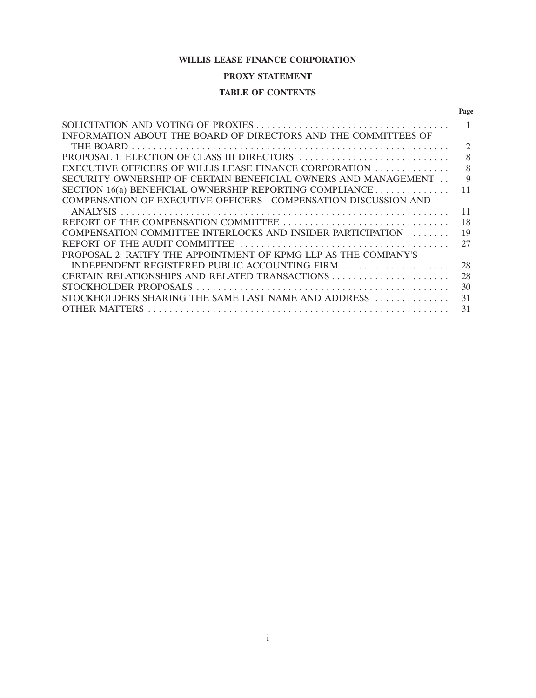# **WILLIS LEASE FINANCE CORPORATION**

# **PROXY STATEMENT**

# **TABLE OF CONTENTS**

|                                                                 | Page                        |
|-----------------------------------------------------------------|-----------------------------|
|                                                                 |                             |
| INFORMATION ABOUT THE BOARD OF DIRECTORS AND THE COMMITTEES OF  |                             |
|                                                                 | $\mathcal{D}_{\mathcal{L}}$ |
| PROPOSAL 1: ELECTION OF CLASS III DIRECTORS                     | 8                           |
| EXECUTIVE OFFICERS OF WILLIS LEASE FINANCE CORPORATION          | 8                           |
| SECURITY OWNERSHIP OF CERTAIN BENEFICIAL OWNERS AND MANAGEMENT  | 9                           |
| SECTION 16(a) BENEFICIAL OWNERSHIP REPORTING COMPLIANCE         | 11                          |
| COMPENSATION OF EXECUTIVE OFFICERS—COMPENSATION DISCUSSION AND  |                             |
| <b>ANALYSIS</b>                                                 | 11                          |
|                                                                 | 18                          |
| COMPENSATION COMMITTEE INTERLOCKS AND INSIDER PARTICIPATION     | 19                          |
|                                                                 | 27                          |
| PROPOSAL 2: RATIFY THE APPOINTMENT OF KPMG LLP AS THE COMPANY'S |                             |
| INDEPENDENT REGISTERED PUBLIC ACCOUNTING FIRM                   | 28                          |
|                                                                 | 28                          |
|                                                                 | 30                          |
| STOCKHOLDERS SHARING THE SAME LAST NAME AND ADDRESS             | 31                          |
| <b>OTHER MATTERS</b>                                            | 31                          |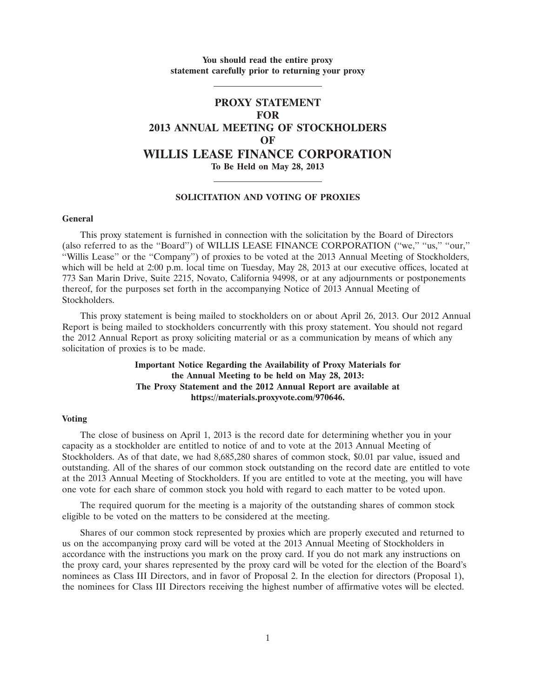# **You should read the entire proxy statement carefully prior to returning your proxy**

# **PROXY STATEMENT FOR 2013 ANNUAL MEETING OF STOCKHOLDERS OF WILLIS LEASE FINANCE CORPORATION To Be Held on May 28, 2013**

# **SOLICITATION AND VOTING OF PROXIES**

#### **General**

This proxy statement is furnished in connection with the solicitation by the Board of Directors (also referred to as the ''Board'') of WILLIS LEASE FINANCE CORPORATION (''we,'' ''us,'' ''our,'' ''Willis Lease'' or the ''Company'') of proxies to be voted at the 2013 Annual Meeting of Stockholders, which will be held at 2:00 p.m. local time on Tuesday, May 28, 2013 at our executive offices, located at 773 San Marin Drive, Suite 2215, Novato, California 94998, or at any adjournments or postponements thereof, for the purposes set forth in the accompanying Notice of 2013 Annual Meeting of Stockholders.

This proxy statement is being mailed to stockholders on or about April 26, 2013. Our 2012 Annual Report is being mailed to stockholders concurrently with this proxy statement. You should not regard the 2012 Annual Report as proxy soliciting material or as a communication by means of which any solicitation of proxies is to be made.

# **Important Notice Regarding the Availability of Proxy Materials for the Annual Meeting to be held on May 28, 2013: The Proxy Statement and the 2012 Annual Report are available at https://materials.proxyvote.com/970646.**

#### **Voting**

The close of business on April 1, 2013 is the record date for determining whether you in your capacity as a stockholder are entitled to notice of and to vote at the 2013 Annual Meeting of Stockholders. As of that date, we had 8,685,280 shares of common stock, \$0.01 par value, issued and outstanding. All of the shares of our common stock outstanding on the record date are entitled to vote at the 2013 Annual Meeting of Stockholders. If you are entitled to vote at the meeting, you will have one vote for each share of common stock you hold with regard to each matter to be voted upon.

The required quorum for the meeting is a majority of the outstanding shares of common stock eligible to be voted on the matters to be considered at the meeting.

Shares of our common stock represented by proxies which are properly executed and returned to us on the accompanying proxy card will be voted at the 2013 Annual Meeting of Stockholders in accordance with the instructions you mark on the proxy card. If you do not mark any instructions on the proxy card, your shares represented by the proxy card will be voted for the election of the Board's nominees as Class III Directors, and in favor of Proposal 2. In the election for directors (Proposal 1), the nominees for Class III Directors receiving the highest number of affirmative votes will be elected.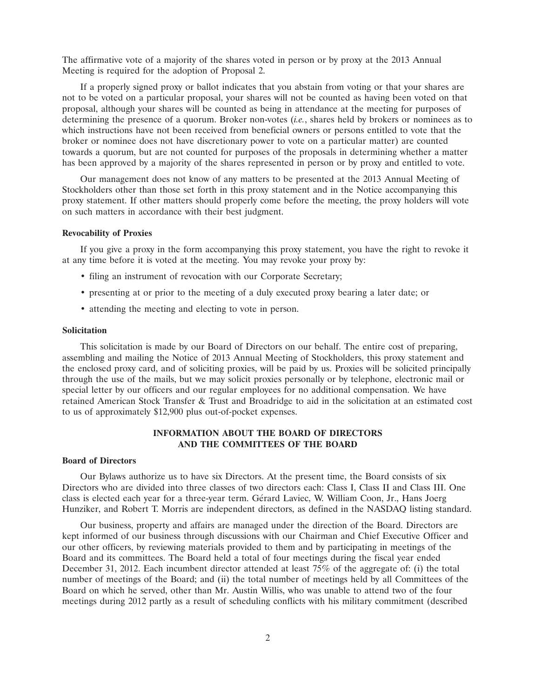The affirmative vote of a majority of the shares voted in person or by proxy at the 2013 Annual Meeting is required for the adoption of Proposal 2.

If a properly signed proxy or ballot indicates that you abstain from voting or that your shares are not to be voted on a particular proposal, your shares will not be counted as having been voted on that proposal, although your shares will be counted as being in attendance at the meeting for purposes of determining the presence of a quorum. Broker non-votes (*i.e.*, shares held by brokers or nominees as to which instructions have not been received from beneficial owners or persons entitled to vote that the broker or nominee does not have discretionary power to vote on a particular matter) are counted towards a quorum, but are not counted for purposes of the proposals in determining whether a matter has been approved by a majority of the shares represented in person or by proxy and entitled to vote.

Our management does not know of any matters to be presented at the 2013 Annual Meeting of Stockholders other than those set forth in this proxy statement and in the Notice accompanying this proxy statement. If other matters should properly come before the meeting, the proxy holders will vote on such matters in accordance with their best judgment.

# **Revocability of Proxies**

If you give a proxy in the form accompanying this proxy statement, you have the right to revoke it at any time before it is voted at the meeting. You may revoke your proxy by:

- filing an instrument of revocation with our Corporate Secretary;
- presenting at or prior to the meeting of a duly executed proxy bearing a later date; or
- attending the meeting and electing to vote in person.

#### **Solicitation**

This solicitation is made by our Board of Directors on our behalf. The entire cost of preparing, assembling and mailing the Notice of 2013 Annual Meeting of Stockholders, this proxy statement and the enclosed proxy card, and of soliciting proxies, will be paid by us. Proxies will be solicited principally through the use of the mails, but we may solicit proxies personally or by telephone, electronic mail or special letter by our officers and our regular employees for no additional compensation. We have retained American Stock Transfer & Trust and Broadridge to aid in the solicitation at an estimated cost to us of approximately \$12,900 plus out-of-pocket expenses.

# **INFORMATION ABOUT THE BOARD OF DIRECTORS AND THE COMMITTEES OF THE BOARD**

## **Board of Directors**

Our Bylaws authorize us to have six Directors. At the present time, the Board consists of six Directors who are divided into three classes of two directors each: Class I, Class II and Class III. One class is elected each year for a three-year term. Gérard Laviec, W. William Coon, Jr., Hans Joerg Hunziker, and Robert T. Morris are independent directors, as defined in the NASDAQ listing standard.

Our business, property and affairs are managed under the direction of the Board. Directors are kept informed of our business through discussions with our Chairman and Chief Executive Officer and our other officers, by reviewing materials provided to them and by participating in meetings of the Board and its committees. The Board held a total of four meetings during the fiscal year ended December 31, 2012. Each incumbent director attended at least 75% of the aggregate of: (i) the total number of meetings of the Board; and (ii) the total number of meetings held by all Committees of the Board on which he served, other than Mr. Austin Willis, who was unable to attend two of the four meetings during 2012 partly as a result of scheduling conflicts with his military commitment (described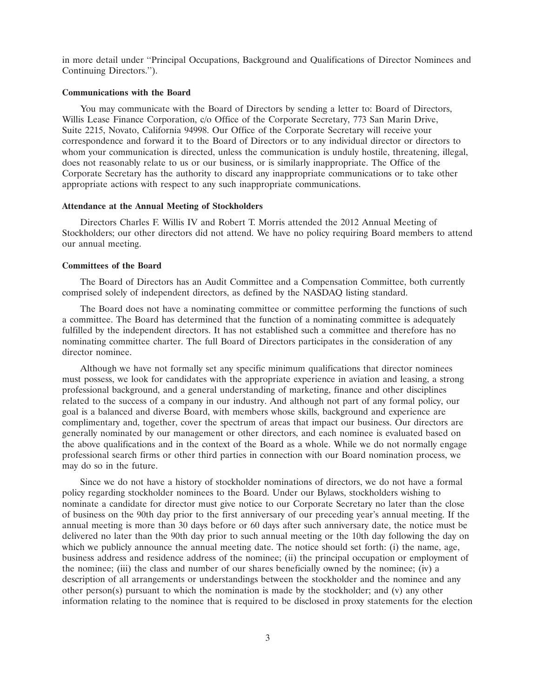in more detail under ''Principal Occupations, Background and Qualifications of Director Nominees and Continuing Directors.'').

# **Communications with the Board**

You may communicate with the Board of Directors by sending a letter to: Board of Directors, Willis Lease Finance Corporation, c/o Office of the Corporate Secretary, 773 San Marin Drive, Suite 2215, Novato, California 94998. Our Office of the Corporate Secretary will receive your correspondence and forward it to the Board of Directors or to any individual director or directors to whom your communication is directed, unless the communication is unduly hostile, threatening, illegal, does not reasonably relate to us or our business, or is similarly inappropriate. The Office of the Corporate Secretary has the authority to discard any inappropriate communications or to take other appropriate actions with respect to any such inappropriate communications.

#### **Attendance at the Annual Meeting of Stockholders**

Directors Charles F. Willis IV and Robert T. Morris attended the 2012 Annual Meeting of Stockholders; our other directors did not attend. We have no policy requiring Board members to attend our annual meeting.

#### **Committees of the Board**

The Board of Directors has an Audit Committee and a Compensation Committee, both currently comprised solely of independent directors, as defined by the NASDAQ listing standard.

The Board does not have a nominating committee or committee performing the functions of such a committee. The Board has determined that the function of a nominating committee is adequately fulfilled by the independent directors. It has not established such a committee and therefore has no nominating committee charter. The full Board of Directors participates in the consideration of any director nominee.

Although we have not formally set any specific minimum qualifications that director nominees must possess, we look for candidates with the appropriate experience in aviation and leasing, a strong professional background, and a general understanding of marketing, finance and other disciplines related to the success of a company in our industry. And although not part of any formal policy, our goal is a balanced and diverse Board, with members whose skills, background and experience are complimentary and, together, cover the spectrum of areas that impact our business. Our directors are generally nominated by our management or other directors, and each nominee is evaluated based on the above qualifications and in the context of the Board as a whole. While we do not normally engage professional search firms or other third parties in connection with our Board nomination process, we may do so in the future.

Since we do not have a history of stockholder nominations of directors, we do not have a formal policy regarding stockholder nominees to the Board. Under our Bylaws, stockholders wishing to nominate a candidate for director must give notice to our Corporate Secretary no later than the close of business on the 90th day prior to the first anniversary of our preceding year's annual meeting. If the annual meeting is more than 30 days before or 60 days after such anniversary date, the notice must be delivered no later than the 90th day prior to such annual meeting or the 10th day following the day on which we publicly announce the annual meeting date. The notice should set forth: (i) the name, age, business address and residence address of the nominee; (ii) the principal occupation or employment of the nominee; (iii) the class and number of our shares beneficially owned by the nominee; (iv) a description of all arrangements or understandings between the stockholder and the nominee and any other person(s) pursuant to which the nomination is made by the stockholder; and (v) any other information relating to the nominee that is required to be disclosed in proxy statements for the election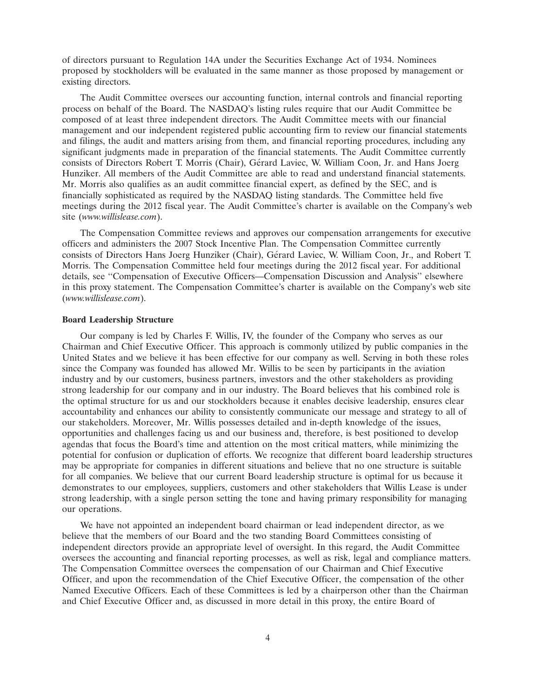of directors pursuant to Regulation 14A under the Securities Exchange Act of 1934. Nominees proposed by stockholders will be evaluated in the same manner as those proposed by management or existing directors.

The Audit Committee oversees our accounting function, internal controls and financial reporting process on behalf of the Board. The NASDAQ's listing rules require that our Audit Committee be composed of at least three independent directors. The Audit Committee meets with our financial management and our independent registered public accounting firm to review our financial statements and filings, the audit and matters arising from them, and financial reporting procedures, including any significant judgments made in preparation of the financial statements. The Audit Committee currently consists of Directors Robert T. Morris (Chair), Gerard Laviec, W. William Coon, Jr. and Hans Joerg ´ Hunziker. All members of the Audit Committee are able to read and understand financial statements. Mr. Morris also qualifies as an audit committee financial expert, as defined by the SEC, and is financially sophisticated as required by the NASDAQ listing standards. The Committee held five meetings during the 2012 fiscal year. The Audit Committee's charter is available on the Company's web site (*www.willislease.com*).

The Compensation Committee reviews and approves our compensation arrangements for executive officers and administers the 2007 Stock Incentive Plan. The Compensation Committee currently consists of Directors Hans Joerg Hunziker (Chair), Gérard Laviec, W. William Coon, Jr., and Robert T. Morris. The Compensation Committee held four meetings during the 2012 fiscal year. For additional details, see ''Compensation of Executive Officers—Compensation Discussion and Analysis'' elsewhere in this proxy statement. The Compensation Committee's charter is available on the Company's web site (*www.willislease.com*).

### **Board Leadership Structure**

Our company is led by Charles F. Willis, IV, the founder of the Company who serves as our Chairman and Chief Executive Officer. This approach is commonly utilized by public companies in the United States and we believe it has been effective for our company as well. Serving in both these roles since the Company was founded has allowed Mr. Willis to be seen by participants in the aviation industry and by our customers, business partners, investors and the other stakeholders as providing strong leadership for our company and in our industry. The Board believes that his combined role is the optimal structure for us and our stockholders because it enables decisive leadership, ensures clear accountability and enhances our ability to consistently communicate our message and strategy to all of our stakeholders. Moreover, Mr. Willis possesses detailed and in-depth knowledge of the issues, opportunities and challenges facing us and our business and, therefore, is best positioned to develop agendas that focus the Board's time and attention on the most critical matters, while minimizing the potential for confusion or duplication of efforts. We recognize that different board leadership structures may be appropriate for companies in different situations and believe that no one structure is suitable for all companies. We believe that our current Board leadership structure is optimal for us because it demonstrates to our employees, suppliers, customers and other stakeholders that Willis Lease is under strong leadership, with a single person setting the tone and having primary responsibility for managing our operations.

We have not appointed an independent board chairman or lead independent director, as we believe that the members of our Board and the two standing Board Committees consisting of independent directors provide an appropriate level of oversight. In this regard, the Audit Committee oversees the accounting and financial reporting processes, as well as risk, legal and compliance matters. The Compensation Committee oversees the compensation of our Chairman and Chief Executive Officer, and upon the recommendation of the Chief Executive Officer, the compensation of the other Named Executive Officers. Each of these Committees is led by a chairperson other than the Chairman and Chief Executive Officer and, as discussed in more detail in this proxy, the entire Board of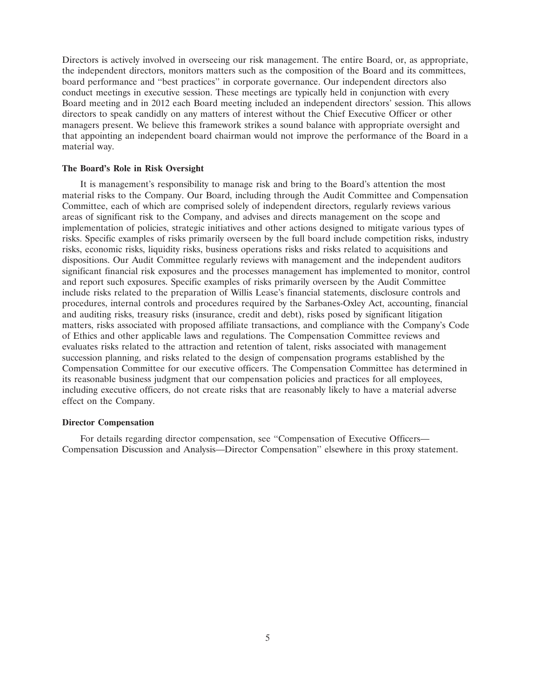Directors is actively involved in overseeing our risk management. The entire Board, or, as appropriate, the independent directors, monitors matters such as the composition of the Board and its committees, board performance and ''best practices'' in corporate governance. Our independent directors also conduct meetings in executive session. These meetings are typically held in conjunction with every Board meeting and in 2012 each Board meeting included an independent directors' session. This allows directors to speak candidly on any matters of interest without the Chief Executive Officer or other managers present. We believe this framework strikes a sound balance with appropriate oversight and that appointing an independent board chairman would not improve the performance of the Board in a material way.

# **The Board's Role in Risk Oversight**

It is management's responsibility to manage risk and bring to the Board's attention the most material risks to the Company. Our Board, including through the Audit Committee and Compensation Committee, each of which are comprised solely of independent directors, regularly reviews various areas of significant risk to the Company, and advises and directs management on the scope and implementation of policies, strategic initiatives and other actions designed to mitigate various types of risks. Specific examples of risks primarily overseen by the full board include competition risks, industry risks, economic risks, liquidity risks, business operations risks and risks related to acquisitions and dispositions. Our Audit Committee regularly reviews with management and the independent auditors significant financial risk exposures and the processes management has implemented to monitor, control and report such exposures. Specific examples of risks primarily overseen by the Audit Committee include risks related to the preparation of Willis Lease's financial statements, disclosure controls and procedures, internal controls and procedures required by the Sarbanes-Oxley Act, accounting, financial and auditing risks, treasury risks (insurance, credit and debt), risks posed by significant litigation matters, risks associated with proposed affiliate transactions, and compliance with the Company's Code of Ethics and other applicable laws and regulations. The Compensation Committee reviews and evaluates risks related to the attraction and retention of talent, risks associated with management succession planning, and risks related to the design of compensation programs established by the Compensation Committee for our executive officers. The Compensation Committee has determined in its reasonable business judgment that our compensation policies and practices for all employees, including executive officers, do not create risks that are reasonably likely to have a material adverse effect on the Company.

# **Director Compensation**

For details regarding director compensation, see ''Compensation of Executive Officers— Compensation Discussion and Analysis—Director Compensation'' elsewhere in this proxy statement.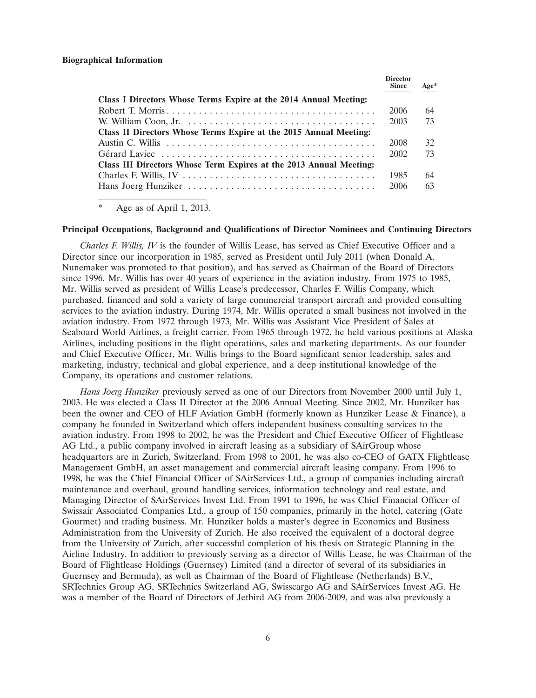|                                                                    | <b>Director</b><br><b>Since</b> | $Age*$ |
|--------------------------------------------------------------------|---------------------------------|--------|
| Class I Directors Whose Terms Expire at the 2014 Annual Meeting:   |                                 |        |
| Robert T. Morris                                                   | 2006                            | 64     |
|                                                                    | 2003                            | 73     |
| Class II Directors Whose Terms Expire at the 2015 Annual Meeting:  |                                 |        |
|                                                                    | 2008                            | 32     |
|                                                                    | 2002                            | 73     |
| Class III Directors Whose Term Expires at the 2013 Annual Meeting: |                                 |        |
|                                                                    | 1985                            | 64     |
|                                                                    | 2006                            | 63     |

\* Age as of April 1, 2013.

#### **Principal Occupations, Background and Qualifications of Director Nominees and Continuing Directors**

*Charles F. Willis, IV* is the founder of Willis Lease, has served as Chief Executive Officer and a Director since our incorporation in 1985, served as President until July 2011 (when Donald A. Nunemaker was promoted to that position), and has served as Chairman of the Board of Directors since 1996. Mr. Willis has over 40 years of experience in the aviation industry. From 1975 to 1985, Mr. Willis served as president of Willis Lease's predecessor, Charles F. Willis Company, which purchased, financed and sold a variety of large commercial transport aircraft and provided consulting services to the aviation industry. During 1974, Mr. Willis operated a small business not involved in the aviation industry. From 1972 through 1973, Mr. Willis was Assistant Vice President of Sales at Seaboard World Airlines, a freight carrier. From 1965 through 1972, he held various positions at Alaska Airlines, including positions in the flight operations, sales and marketing departments. As our founder and Chief Executive Officer, Mr. Willis brings to the Board significant senior leadership, sales and marketing, industry, technical and global experience, and a deep institutional knowledge of the Company, its operations and customer relations.

*Hans Joerg Hunziker* previously served as one of our Directors from November 2000 until July 1, 2003. He was elected a Class II Director at the 2006 Annual Meeting. Since 2002, Mr. Hunziker has been the owner and CEO of HLF Aviation GmbH (formerly known as Hunziker Lease & Finance), a company he founded in Switzerland which offers independent business consulting services to the aviation industry. From 1998 to 2002, he was the President and Chief Executive Officer of Flightlease AG Ltd., a public company involved in aircraft leasing as a subsidiary of SAirGroup whose headquarters are in Zurich, Switzerland. From 1998 to 2001, he was also co-CEO of GATX Flightlease Management GmbH, an asset management and commercial aircraft leasing company. From 1996 to 1998, he was the Chief Financial Officer of SAirServices Ltd., a group of companies including aircraft maintenance and overhaul, ground handling services, information technology and real estate, and Managing Director of SAirServices Invest Ltd. From 1991 to 1996, he was Chief Financial Officer of Swissair Associated Companies Ltd., a group of 150 companies, primarily in the hotel, catering (Gate Gourmet) and trading business. Mr. Hunziker holds a master's degree in Economics and Business Administration from the University of Zurich. He also received the equivalent of a doctoral degree from the University of Zurich, after successful completion of his thesis on Strategic Planning in the Airline Industry. In addition to previously serving as a director of Willis Lease, he was Chairman of the Board of Flightlease Holdings (Guernsey) Limited (and a director of several of its subsidiaries in Guernsey and Bermuda), as well as Chairman of the Board of Flightlease (Netherlands) B.V., SRTechnics Group AG, SRTechnics Switzerland AG, Swisscargo AG and SAirServices Invest AG. He was a member of the Board of Directors of Jetbird AG from 2006-2009, and was also previously a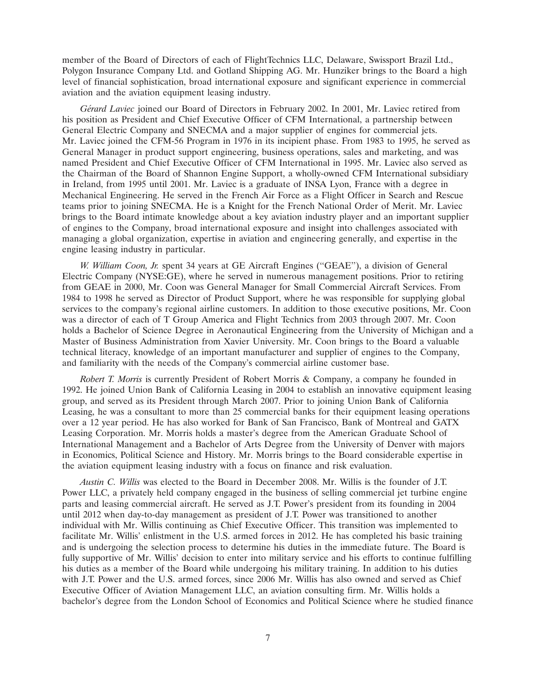member of the Board of Directors of each of FlightTechnics LLC, Delaware, Swissport Brazil Ltd., Polygon Insurance Company Ltd. and Gotland Shipping AG. Mr. Hunziker brings to the Board a high level of financial sophistication, broad international exposure and significant experience in commercial aviation and the aviation equipment leasing industry.

*G´erard Laviec* joined our Board of Directors in February 2002. In 2001, Mr. Laviec retired from his position as President and Chief Executive Officer of CFM International, a partnership between General Electric Company and SNECMA and a major supplier of engines for commercial jets. Mr. Laviec joined the CFM-56 Program in 1976 in its incipient phase. From 1983 to 1995, he served as General Manager in product support engineering, business operations, sales and marketing, and was named President and Chief Executive Officer of CFM International in 1995. Mr. Laviec also served as the Chairman of the Board of Shannon Engine Support, a wholly-owned CFM International subsidiary in Ireland, from 1995 until 2001. Mr. Laviec is a graduate of INSA Lyon, France with a degree in Mechanical Engineering. He served in the French Air Force as a Flight Officer in Search and Rescue teams prior to joining SNECMA. He is a Knight for the French National Order of Merit. Mr. Laviec brings to the Board intimate knowledge about a key aviation industry player and an important supplier of engines to the Company, broad international exposure and insight into challenges associated with managing a global organization, expertise in aviation and engineering generally, and expertise in the engine leasing industry in particular.

*W. William Coon, Jr.* spent 34 years at GE Aircraft Engines (''GEAE''), a division of General Electric Company (NYSE:GE), where he served in numerous management positions. Prior to retiring from GEAE in 2000, Mr. Coon was General Manager for Small Commercial Aircraft Services. From 1984 to 1998 he served as Director of Product Support, where he was responsible for supplying global services to the company's regional airline customers. In addition to those executive positions, Mr. Coon was a director of each of T Group America and Flight Technics from 2003 through 2007. Mr. Coon holds a Bachelor of Science Degree in Aeronautical Engineering from the University of Michigan and a Master of Business Administration from Xavier University. Mr. Coon brings to the Board a valuable technical literacy, knowledge of an important manufacturer and supplier of engines to the Company, and familiarity with the needs of the Company's commercial airline customer base.

*Robert T. Morris* is currently President of Robert Morris & Company, a company he founded in 1992. He joined Union Bank of California Leasing in 2004 to establish an innovative equipment leasing group, and served as its President through March 2007. Prior to joining Union Bank of California Leasing, he was a consultant to more than 25 commercial banks for their equipment leasing operations over a 12 year period. He has also worked for Bank of San Francisco, Bank of Montreal and GATX Leasing Corporation. Mr. Morris holds a master's degree from the American Graduate School of International Management and a Bachelor of Arts Degree from the University of Denver with majors in Economics, Political Science and History. Mr. Morris brings to the Board considerable expertise in the aviation equipment leasing industry with a focus on finance and risk evaluation.

*Austin C. Willis* was elected to the Board in December 2008. Mr. Willis is the founder of J.T. Power LLC, a privately held company engaged in the business of selling commercial jet turbine engine parts and leasing commercial aircraft. He served as J.T. Power's president from its founding in 2004 until 2012 when day-to-day management as president of J.T. Power was transitioned to another individual with Mr. Willis continuing as Chief Executive Officer. This transition was implemented to facilitate Mr. Willis' enlistment in the U.S. armed forces in 2012. He has completed his basic training and is undergoing the selection process to determine his duties in the immediate future. The Board is fully supportive of Mr. Willis' decision to enter into military service and his efforts to continue fulfilling his duties as a member of the Board while undergoing his military training. In addition to his duties with J.T. Power and the U.S. armed forces, since 2006 Mr. Willis has also owned and served as Chief Executive Officer of Aviation Management LLC, an aviation consulting firm. Mr. Willis holds a bachelor's degree from the London School of Economics and Political Science where he studied finance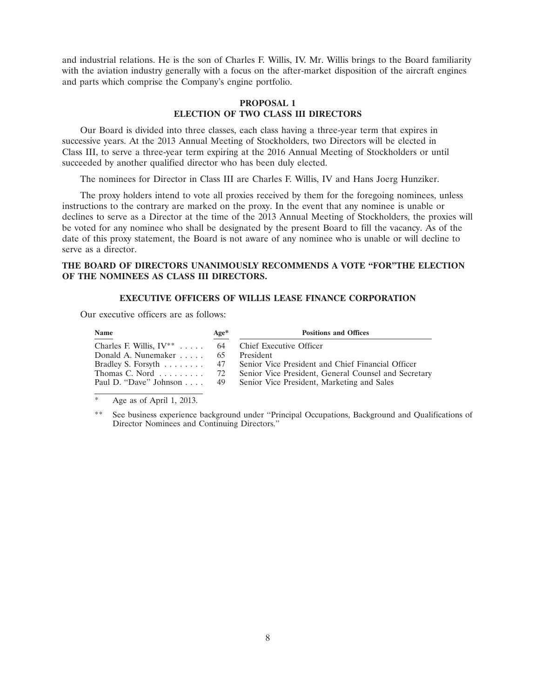and industrial relations. He is the son of Charles F. Willis, IV. Mr. Willis brings to the Board familiarity with the aviation industry generally with a focus on the after-market disposition of the aircraft engines and parts which comprise the Company's engine portfolio.

# **PROPOSAL 1 ELECTION OF TWO CLASS III DIRECTORS**

Our Board is divided into three classes, each class having a three-year term that expires in successive years. At the 2013 Annual Meeting of Stockholders, two Directors will be elected in Class III, to serve a three-year term expiring at the 2016 Annual Meeting of Stockholders or until succeeded by another qualified director who has been duly elected.

The nominees for Director in Class III are Charles F. Willis, IV and Hans Joerg Hunziker.

The proxy holders intend to vote all proxies received by them for the foregoing nominees, unless instructions to the contrary are marked on the proxy. In the event that any nominee is unable or declines to serve as a Director at the time of the 2013 Annual Meeting of Stockholders, the proxies will be voted for any nominee who shall be designated by the present Board to fill the vacancy. As of the date of this proxy statement, the Board is not aware of any nominee who is unable or will decline to serve as a director.

# **THE BOARD OF DIRECTORS UNANIMOUSLY RECOMMENDS A VOTE ''FOR''THE ELECTION OF THE NOMINEES AS CLASS III DIRECTORS.**

#### **EXECUTIVE OFFICERS OF WILLIS LEASE FINANCE CORPORATION**

Our executive officers are as follows:

| Name                                                    | $Age*$ | <b>Positions and Offices</b>                                            |
|---------------------------------------------------------|--------|-------------------------------------------------------------------------|
| Charles F. Willis, $IV^{**}$ 64 Chief Executive Officer |        |                                                                         |
| Donald A. Nunemaker 65 President                        |        |                                                                         |
|                                                         |        | Bradley S. Forsyth 47 Senior Vice President and Chief Financial Officer |
| Thomas C. Nord $\ldots \ldots \ldots$ 72                |        | Senior Vice President, General Counsel and Secretary                    |
|                                                         |        | Paul D. "Dave" Johnson 49 Senior Vice President, Marketing and Sales    |

Age as of April 1, 2013.

See business experience background under "Principal Occupations, Background and Qualifications of Director Nominees and Continuing Directors.''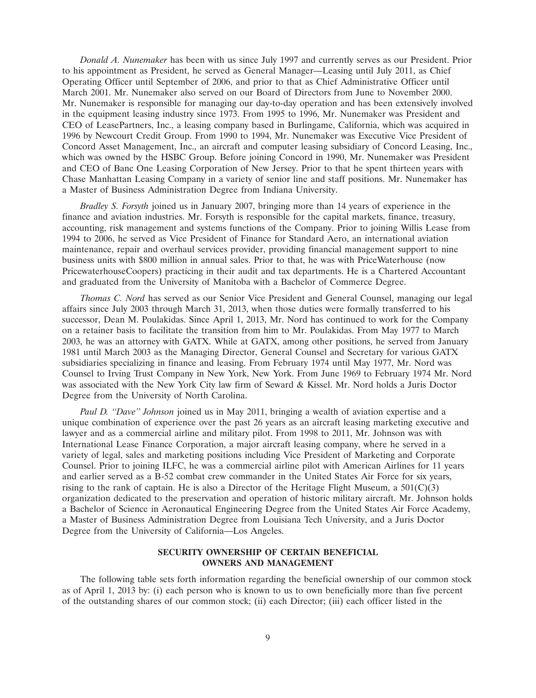*Donald A. Nunemaker* has been with us since July 1997 and currently serves as our President. Prior to his appointment as President, he served as General Manager—Leasing until July 2011, as Chief Operating Officer until September of 2006, and prior to that as Chief Administrative Officer until March 2001. Mr. Nunemaker also served on our Board of Directors from June to November 2000. Mr. Nunemaker is responsible for managing our day-to-day operation and has been extensively involved in the equipment leasing industry since 1973. From 1995 to 1996, Mr. Nunemaker was President and CEO of LeasePartners, Inc., a leasing company based in Burlingame, California, which was acquired in 1996 by Newcourt Credit Group. From 1990 to 1994, Mr. Nunemaker was Executive Vice President of Concord Asset Management, Inc., an aircraft and computer leasing subsidiary of Concord Leasing, Inc., which was owned by the HSBC Group. Before joining Concord in 1990, Mr. Nunemaker was President and CEO of Banc One Leasing Corporation of New Jersey. Prior to that he spent thirteen years with Chase Manhattan Leasing Company in a variety of senior line and staff positions. Mr. Nunemaker has a Master of Business Administration Degree from Indiana University.

*Bradley S. Forsyth* joined us in January 2007, bringing more than 14 years of experience in the finance and aviation industries. Mr. Forsyth is responsible for the capital markets, finance, treasury, accounting, risk management and systems functions of the Company. Prior to joining Willis Lease from 1994 to 2006, he served as Vice President of Finance for Standard Aero, an international aviation maintenance, repair and overhaul services provider, providing financial management support to nine business units with \$800 million in annual sales. Prior to that, he was with PriceWaterhouse (now PricewaterhouseCoopers) practicing in their audit and tax departments. He is a Chartered Accountant and graduated from the University of Manitoba with a Bachelor of Commerce Degree.

*Thomas C. Nord* has served as our Senior Vice President and General Counsel, managing our legal affairs since July 2003 through March 31, 2013, when those duties were formally transferred to his successor, Dean M. Poulakidas. Since April 1, 2013, Mr. Nord has continued to work for the Company on a retainer basis to facilitate the transition from him to Mr. Poulakidas. From May 1977 to March 2003, he was an attorney with GATX. While at GATX, among other positions, he served from January 1981 until March 2003 as the Managing Director, General Counsel and Secretary for various GATX subsidiaries specializing in finance and leasing. From February 1974 until May 1977, Mr. Nord was Counsel to Irving Trust Company in New York, New York. From June 1969 to February 1974 Mr. Nord was associated with the New York City law firm of Seward & Kissel. Mr. Nord holds a Juris Doctor Degree from the University of North Carolina.

*Paul D. ''Dave'' Johnson* joined us in May 2011, bringing a wealth of aviation expertise and a unique combination of experience over the past 26 years as an aircraft leasing marketing executive and lawyer and as a commercial airline and military pilot. From 1998 to 2011, Mr. Johnson was with International Lease Finance Corporation, a major aircraft leasing company, where he served in a variety of legal, sales and marketing positions including Vice President of Marketing and Corporate Counsel. Prior to joining ILFC, he was a commercial airline pilot with American Airlines for 11 years and earlier served as a B-52 combat crew commander in the United States Air Force for six years, rising to the rank of captain. He is also a Director of the Heritage Flight Museum, a  $501(C)(3)$ organization dedicated to the preservation and operation of historic military aircraft. Mr. Johnson holds a Bachelor of Science in Aeronautical Engineering Degree from the United States Air Force Academy, a Master of Business Administration Degree from Louisiana Tech University, and a Juris Doctor Degree from the University of California—Los Angeles.

# **SECURITY OWNERSHIP OF CERTAIN BENEFICIAL OWNERS AND MANAGEMENT**

The following table sets forth information regarding the beneficial ownership of our common stock as of April 1, 2013 by: (i) each person who is known to us to own beneficially more than five percent of the outstanding shares of our common stock; (ii) each Director; (iii) each officer listed in the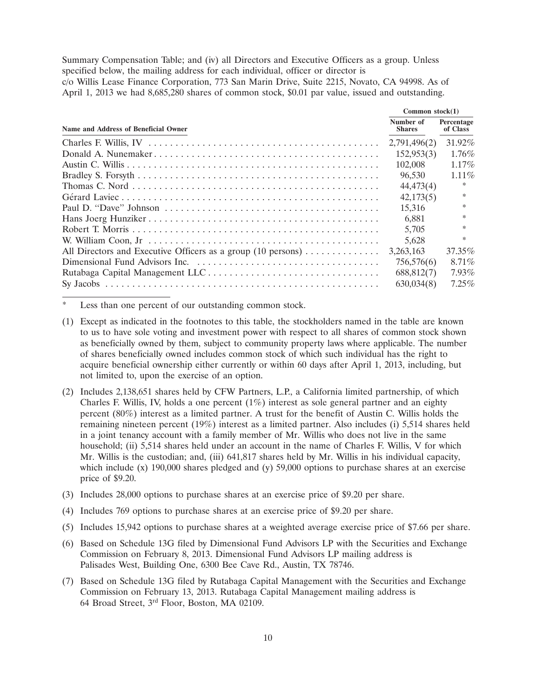Summary Compensation Table; and (iv) all Directors and Executive Officers as a group. Unless specified below, the mailing address for each individual, officer or director is

c/o Willis Lease Finance Corporation, 773 San Marin Drive, Suite 2215, Novato, CA 94998. As of April 1, 2013 we had 8,685,280 shares of common stock, \$0.01 par value, issued and outstanding.

|                                                              | Common $stock(1)$          |                        |  |
|--------------------------------------------------------------|----------------------------|------------------------|--|
| Name and Address of Beneficial Owner                         | Number of<br><b>Shares</b> | Percentage<br>of Class |  |
|                                                              | 2,791,496(2)               | $31.92\%$              |  |
|                                                              | 152,953(3)                 | $1.76\%$               |  |
|                                                              | 102,008                    | $1.17\%$               |  |
|                                                              | 96,530                     | $1.11\%$               |  |
|                                                              | 44,473(4)                  |                        |  |
|                                                              | 42,173(5)                  | $\ast$                 |  |
|                                                              | 15.316                     | $\ast$                 |  |
|                                                              | 6.881                      | $\ast$                 |  |
|                                                              | 5,705                      | $\ast$                 |  |
|                                                              | 5.628                      | $\ast$                 |  |
| All Directors and Executive Officers as a group (10 persons) | 3.263.163                  | 37.35%                 |  |
|                                                              | 756,576(6)                 | $8.71\%$               |  |
|                                                              | 688,812(7)                 | $7.93\%$               |  |
|                                                              | 630,034(8)                 | $7.25\%$               |  |

Less than one percent of our outstanding common stock.

- (1) Except as indicated in the footnotes to this table, the stockholders named in the table are known to us to have sole voting and investment power with respect to all shares of common stock shown as beneficially owned by them, subject to community property laws where applicable. The number of shares beneficially owned includes common stock of which such individual has the right to acquire beneficial ownership either currently or within 60 days after April 1, 2013, including, but not limited to, upon the exercise of an option.
- (2) Includes 2,138,651 shares held by CFW Partners, L.P., a California limited partnership, of which Charles F. Willis, IV, holds a one percent  $(1\%)$  interest as sole general partner and an eighty percent (80%) interest as a limited partner. A trust for the benefit of Austin C. Willis holds the remaining nineteen percent (19%) interest as a limited partner. Also includes (i) 5,514 shares held in a joint tenancy account with a family member of Mr. Willis who does not live in the same household; (ii) 5,514 shares held under an account in the name of Charles F. Willis, V for which Mr. Willis is the custodian; and, (iii) 641,817 shares held by Mr. Willis in his individual capacity, which include (x)  $190,000$  shares pledged and (y)  $59,000$  options to purchase shares at an exercise price of \$9.20.
- (3) Includes 28,000 options to purchase shares at an exercise price of \$9.20 per share.
- (4) Includes 769 options to purchase shares at an exercise price of \$9.20 per share.
- (5) Includes 15,942 options to purchase shares at a weighted average exercise price of \$7.66 per share.
- (6) Based on Schedule 13G filed by Dimensional Fund Advisors LP with the Securities and Exchange Commission on February 8, 2013. Dimensional Fund Advisors LP mailing address is Palisades West, Building One, 6300 Bee Cave Rd., Austin, TX 78746.
- (7) Based on Schedule 13G filed by Rutabaga Capital Management with the Securities and Exchange Commission on February 13, 2013. Rutabaga Capital Management mailing address is 64 Broad Street, 3rd Floor, Boston, MA 02109.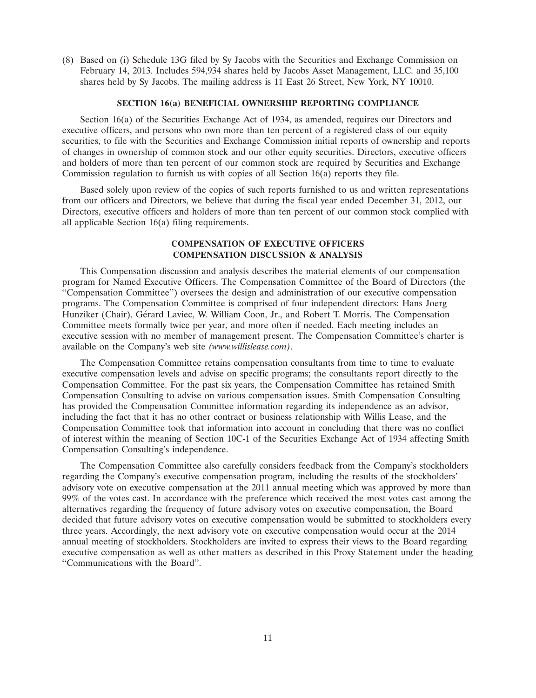(8) Based on (i) Schedule 13G filed by Sy Jacobs with the Securities and Exchange Commission on February 14, 2013. Includes 594,934 shares held by Jacobs Asset Management, LLC. and 35,100 shares held by Sy Jacobs. The mailing address is 11 East 26 Street, New York, NY 10010.

### **SECTION 16(a) BENEFICIAL OWNERSHIP REPORTING COMPLIANCE**

Section 16(a) of the Securities Exchange Act of 1934, as amended, requires our Directors and executive officers, and persons who own more than ten percent of a registered class of our equity securities, to file with the Securities and Exchange Commission initial reports of ownership and reports of changes in ownership of common stock and our other equity securities. Directors, executive officers and holders of more than ten percent of our common stock are required by Securities and Exchange Commission regulation to furnish us with copies of all Section  $16(a)$  reports they file.

Based solely upon review of the copies of such reports furnished to us and written representations from our officers and Directors, we believe that during the fiscal year ended December 31, 2012, our Directors, executive officers and holders of more than ten percent of our common stock complied with all applicable Section 16(a) filing requirements.

# **COMPENSATION OF EXECUTIVE OFFICERS COMPENSATION DISCUSSION & ANALYSIS**

This Compensation discussion and analysis describes the material elements of our compensation program for Named Executive Officers. The Compensation Committee of the Board of Directors (the ''Compensation Committee'') oversees the design and administration of our executive compensation programs. The Compensation Committee is comprised of four independent directors: Hans Joerg Hunziker (Chair), Gérard Laviec, W. William Coon, Jr., and Robert T. Morris. The Compensation Committee meets formally twice per year, and more often if needed. Each meeting includes an executive session with no member of management present. The Compensation Committee's charter is available on the Company's web site *(www.willislease.com)*.

The Compensation Committee retains compensation consultants from time to time to evaluate executive compensation levels and advise on specific programs; the consultants report directly to the Compensation Committee. For the past six years, the Compensation Committee has retained Smith Compensation Consulting to advise on various compensation issues. Smith Compensation Consulting has provided the Compensation Committee information regarding its independence as an advisor, including the fact that it has no other contract or business relationship with Willis Lease, and the Compensation Committee took that information into account in concluding that there was no conflict of interest within the meaning of Section 10C-1 of the Securities Exchange Act of 1934 affecting Smith Compensation Consulting's independence.

The Compensation Committee also carefully considers feedback from the Company's stockholders regarding the Company's executive compensation program, including the results of the stockholders' advisory vote on executive compensation at the 2011 annual meeting which was approved by more than 99% of the votes cast. In accordance with the preference which received the most votes cast among the alternatives regarding the frequency of future advisory votes on executive compensation, the Board decided that future advisory votes on executive compensation would be submitted to stockholders every three years. Accordingly, the next advisory vote on executive compensation would occur at the 2014 annual meeting of stockholders. Stockholders are invited to express their views to the Board regarding executive compensation as well as other matters as described in this Proxy Statement under the heading ''Communications with the Board''.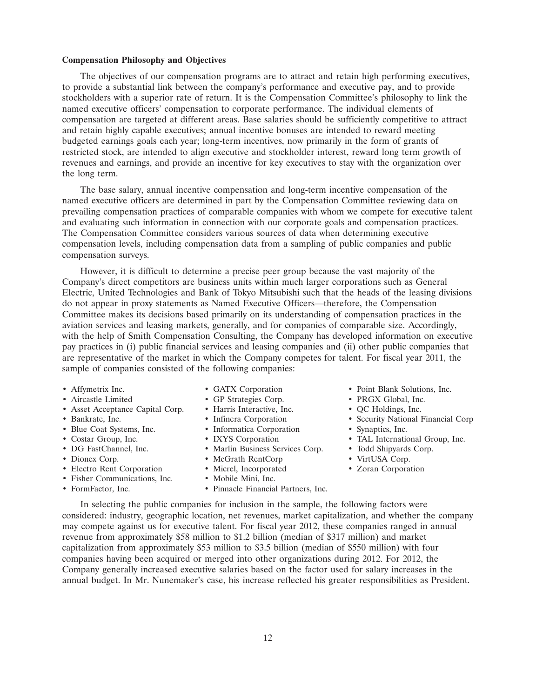#### **Compensation Philosophy and Objectives**

The objectives of our compensation programs are to attract and retain high performing executives, to provide a substantial link between the company's performance and executive pay, and to provide stockholders with a superior rate of return. It is the Compensation Committee's philosophy to link the named executive officers' compensation to corporate performance. The individual elements of compensation are targeted at different areas. Base salaries should be sufficiently competitive to attract and retain highly capable executives; annual incentive bonuses are intended to reward meeting budgeted earnings goals each year; long-term incentives, now primarily in the form of grants of restricted stock, are intended to align executive and stockholder interest, reward long term growth of revenues and earnings, and provide an incentive for key executives to stay with the organization over the long term.

The base salary, annual incentive compensation and long-term incentive compensation of the named executive officers are determined in part by the Compensation Committee reviewing data on prevailing compensation practices of comparable companies with whom we compete for executive talent and evaluating such information in connection with our corporate goals and compensation practices. The Compensation Committee considers various sources of data when determining executive compensation levels, including compensation data from a sampling of public companies and public compensation surveys.

However, it is difficult to determine a precise peer group because the vast majority of the Company's direct competitors are business units within much larger corporations such as General Electric, United Technologies and Bank of Tokyo Mitsubishi such that the heads of the leasing divisions do not appear in proxy statements as Named Executive Officers—therefore, the Compensation Committee makes its decisions based primarily on its understanding of compensation practices in the aviation services and leasing markets, generally, and for companies of comparable size. Accordingly, with the help of Smith Compensation Consulting, the Company has developed information on executive pay practices in (i) public financial services and leasing companies and (ii) other public companies that are representative of the market in which the Company competes for talent. For fiscal year 2011, the sample of companies consisted of the following companies:

- 
- 
- Asset Acceptance Capital Corp. Harris Interactive, Inc. QC Holdings, Inc.
- 
- Blue Coat Systems, Inc. Informatica Corporation Synaptics, Inc.
- 
- 
- 
- Electro Rent Corporation Micrel, Incorporated Zoran Corporation
- Fisher Communications, Inc. Mobile Mini, Inc.
- 
- 
- Aircastle Limited GP Strategies Corp. PRGX Global, Inc.
	-
	-
	-
	-
- DG FastChannel, Inc. • Marlin Business Services Corp. • Todd Shipyards Corp.
- Dionex Corp. McGrath RentCorp VirtUSA Corp.
	-
	-
- FormFactor, Inc. Pinnacle Financial Partners, Inc.
- Affymetrix Inc. GATX Corporation Point Blank Solutions, Inc.
	-
	-
- Bankrate, Inc. Infinera Corporation Security National Financial Corp
	-
- Costar Group, Inc. IXYS Corporation TAL International Group, Inc.
	-
	-
	-

In selecting the public companies for inclusion in the sample, the following factors were considered: industry, geographic location, net revenues, market capitalization, and whether the company may compete against us for executive talent. For fiscal year 2012, these companies ranged in annual revenue from approximately \$58 million to \$1.2 billion (median of \$317 million) and market capitalization from approximately \$53 million to \$3.5 billion (median of \$550 million) with four companies having been acquired or merged into other organizations during 2012. For 2012, the Company generally increased executive salaries based on the factor used for salary increases in the annual budget. In Mr. Nunemaker's case, his increase reflected his greater responsibilities as President.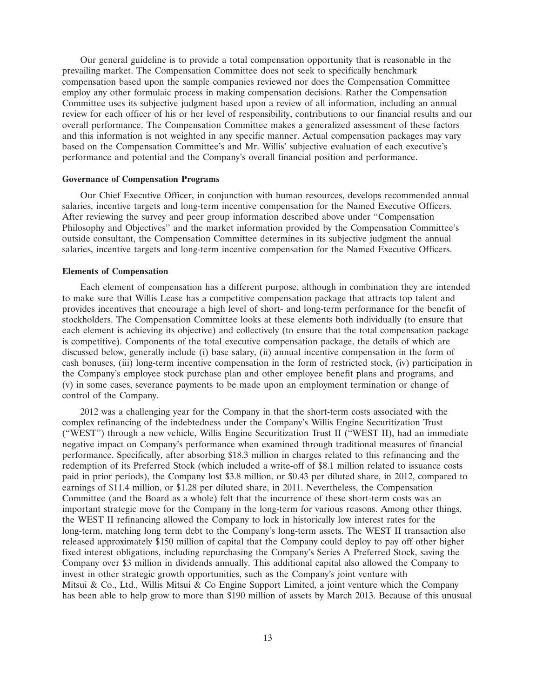Our general guideline is to provide a total compensation opportunity that is reasonable in the prevailing market. The Compensation Committee does not seek to specifically benchmark compensation based upon the sample companies reviewed nor does the Compensation Committee employ any other formulaic process in making compensation decisions. Rather the Compensation Committee uses its subjective judgment based upon a review of all information, including an annual review for each officer of his or her level of responsibility, contributions to our financial results and our overall performance. The Compensation Committee makes a generalized assessment of these factors and this information is not weighted in any specific manner. Actual compensation packages may vary based on the Compensation Committee's and Mr. Willis' subjective evaluation of each executive's performance and potential and the Company's overall financial position and performance.

### **Governance of Compensation Programs**

Our Chief Executive Officer, in conjunction with human resources, develops recommended annual salaries, incentive targets and long-term incentive compensation for the Named Executive Officers. After reviewing the survey and peer group information described above under ''Compensation Philosophy and Objectives'' and the market information provided by the Compensation Committee's outside consultant, the Compensation Committee determines in its subjective judgment the annual salaries, incentive targets and long-term incentive compensation for the Named Executive Officers.

### **Elements of Compensation**

Each element of compensation has a different purpose, although in combination they are intended to make sure that Willis Lease has a competitive compensation package that attracts top talent and provides incentives that encourage a high level of short- and long-term performance for the benefit of stockholders. The Compensation Committee looks at these elements both individually (to ensure that each element is achieving its objective) and collectively (to ensure that the total compensation package is competitive). Components of the total executive compensation package, the details of which are discussed below, generally include (i) base salary, (ii) annual incentive compensation in the form of cash bonuses, (iii) long-term incentive compensation in the form of restricted stock, (iv) participation in the Company's employee stock purchase plan and other employee benefit plans and programs, and (v) in some cases, severance payments to be made upon an employment termination or change of control of the Company.

2012 was a challenging year for the Company in that the short-term costs associated with the complex refinancing of the indebtedness under the Company's Willis Engine Securitization Trust (''WEST'') through a new vehicle, Willis Engine Securitization Trust II (''WEST II), had an immediate negative impact on Company's performance when examined through traditional measures of financial performance. Specifically, after absorbing \$18.3 million in charges related to this refinancing and the redemption of its Preferred Stock (which included a write-off of \$8.1 million related to issuance costs paid in prior periods), the Company lost \$3.8 million, or \$0.43 per diluted share, in 2012, compared to earnings of \$11.4 million, or \$1.28 per diluted share, in 2011. Nevertheless, the Compensation Committee (and the Board as a whole) felt that the incurrence of these short-term costs was an important strategic move for the Company in the long-term for various reasons. Among other things, the WEST II refinancing allowed the Company to lock in historically low interest rates for the long-term, matching long term debt to the Company's long-term assets. The WEST II transaction also released approximately \$150 million of capital that the Company could deploy to pay off other higher fixed interest obligations, including repurchasing the Company's Series A Preferred Stock, saving the Company over \$3 million in dividends annually. This additional capital also allowed the Company to invest in other strategic growth opportunities, such as the Company's joint venture with Mitsui & Co., Ltd., Willis Mitsui & Co Engine Support Limited, a joint venture which the Company has been able to help grow to more than \$190 million of assets by March 2013. Because of this unusual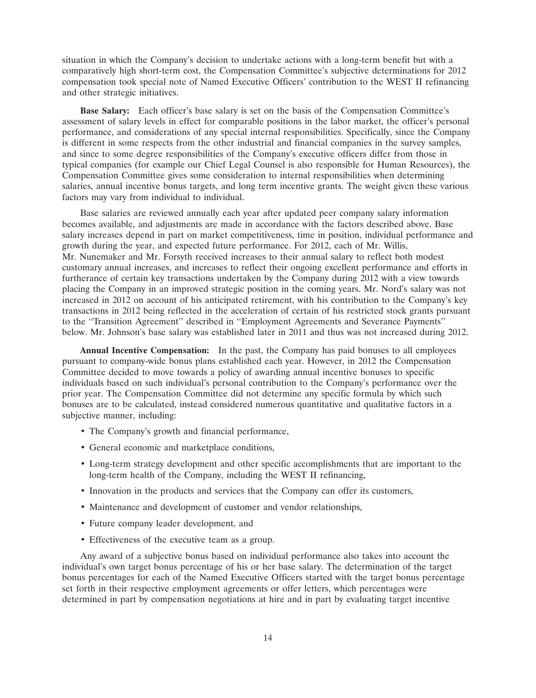situation in which the Company's decision to undertake actions with a long-term benefit but with a comparatively high short-term cost, the Compensation Committee's subjective determinations for 2012 compensation took special note of Named Executive Officers' contribution to the WEST II refinancing and other strategic initiatives.

**Base Salary:** Each officer's base salary is set on the basis of the Compensation Committee's assessment of salary levels in effect for comparable positions in the labor market, the officer's personal performance, and considerations of any special internal responsibilities. Specifically, since the Company is different in some respects from the other industrial and financial companies in the survey samples, and since to some degree responsibilities of the Company's executive officers differ from those in typical companies (for example our Chief Legal Counsel is also responsible for Human Resources), the Compensation Committee gives some consideration to internal responsibilities when determining salaries, annual incentive bonus targets, and long term incentive grants. The weight given these various factors may vary from individual to individual.

Base salaries are reviewed annually each year after updated peer company salary information becomes available, and adjustments are made in accordance with the factors described above. Base salary increases depend in part on market competitiveness, time in position, individual performance and growth during the year, and expected future performance. For 2012, each of Mr. Willis, Mr. Nunemaker and Mr. Forsyth received increases to their annual salary to reflect both modest customary annual increases, and increases to reflect their ongoing excellent performance and efforts in furtherance of certain key transactions undertaken by the Company during 2012 with a view towards placing the Company in an improved strategic position in the coming years. Mr. Nord's salary was not increased in 2012 on account of his anticipated retirement, with his contribution to the Company's key transactions in 2012 being reflected in the acceleration of certain of his restricted stock grants pursuant to the ''Transition Agreement'' described in ''Employment Agreements and Severance Payments'' below. Mr. Johnson's base salary was established later in 2011 and thus was not increased during 2012.

**Annual Incentive Compensation:** In the past, the Company has paid bonuses to all employees pursuant to company-wide bonus plans established each year. However, in 2012 the Compensation Committee decided to move towards a policy of awarding annual incentive bonuses to specific individuals based on such individual's personal contribution to the Company's performance over the prior year. The Compensation Committee did not determine any specific formula by which such bonuses are to be calculated, instead considered numerous quantitative and qualitative factors in a subjective manner, including:

- The Company's growth and financial performance,
- General economic and marketplace conditions,
- Long-term strategy development and other specific accomplishments that are important to the long-term health of the Company, including the WEST II refinancing,
- Innovation in the products and services that the Company can offer its customers,
- Maintenance and development of customer and vendor relationships,
- Future company leader development, and
- Effectiveness of the executive team as a group.

Any award of a subjective bonus based on individual performance also takes into account the individual's own target bonus percentage of his or her base salary. The determination of the target bonus percentages for each of the Named Executive Officers started with the target bonus percentage set forth in their respective employment agreements or offer letters, which percentages were determined in part by compensation negotiations at hire and in part by evaluating target incentive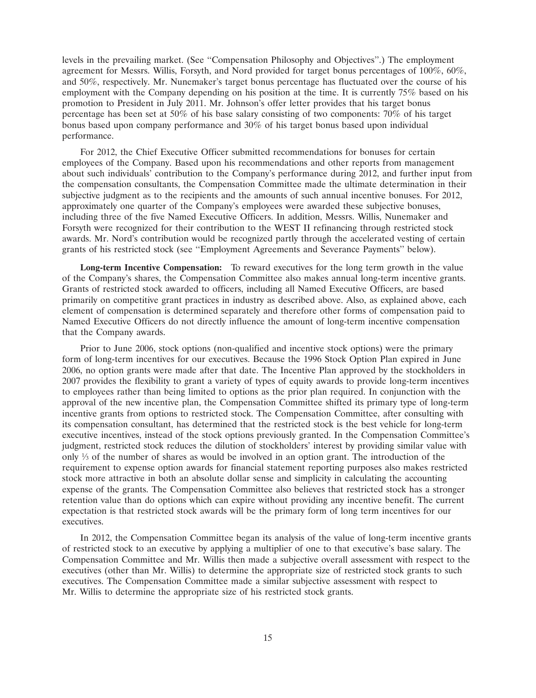levels in the prevailing market. (See ''Compensation Philosophy and Objectives''.) The employment agreement for Messrs. Willis, Forsyth, and Nord provided for target bonus percentages of 100%, 60%, and 50%, respectively. Mr. Nunemaker's target bonus percentage has fluctuated over the course of his employment with the Company depending on his position at the time. It is currently 75% based on his promotion to President in July 2011. Mr. Johnson's offer letter provides that his target bonus percentage has been set at 50% of his base salary consisting of two components: 70% of his target bonus based upon company performance and 30% of his target bonus based upon individual performance.

For 2012, the Chief Executive Officer submitted recommendations for bonuses for certain employees of the Company. Based upon his recommendations and other reports from management about such individuals' contribution to the Company's performance during 2012, and further input from the compensation consultants, the Compensation Committee made the ultimate determination in their subjective judgment as to the recipients and the amounts of such annual incentive bonuses. For 2012, approximately one quarter of the Company's employees were awarded these subjective bonuses, including three of the five Named Executive Officers. In addition, Messrs. Willis, Nunemaker and Forsyth were recognized for their contribution to the WEST II refinancing through restricted stock awards. Mr. Nord's contribution would be recognized partly through the accelerated vesting of certain grants of his restricted stock (see ''Employment Agreements and Severance Payments'' below).

**Long-term Incentive Compensation:** To reward executives for the long term growth in the value of the Company's shares, the Compensation Committee also makes annual long-term incentive grants. Grants of restricted stock awarded to officers, including all Named Executive Officers, are based primarily on competitive grant practices in industry as described above. Also, as explained above, each element of compensation is determined separately and therefore other forms of compensation paid to Named Executive Officers do not directly influence the amount of long-term incentive compensation that the Company awards.

Prior to June 2006, stock options (non-qualified and incentive stock options) were the primary form of long-term incentives for our executives. Because the 1996 Stock Option Plan expired in June 2006, no option grants were made after that date. The Incentive Plan approved by the stockholders in 2007 provides the flexibility to grant a variety of types of equity awards to provide long-term incentives to employees rather than being limited to options as the prior plan required. In conjunction with the approval of the new incentive plan, the Compensation Committee shifted its primary type of long-term incentive grants from options to restricted stock. The Compensation Committee, after consulting with its compensation consultant, has determined that the restricted stock is the best vehicle for long-term executive incentives, instead of the stock options previously granted. In the Compensation Committee's judgment, restricted stock reduces the dilution of stockholders' interest by providing similar value with only  $\frac{1}{3}$  of the number of shares as would be involved in an option grant. The introduction of the requirement to expense option awards for financial statement reporting purposes also makes restricted stock more attractive in both an absolute dollar sense and simplicity in calculating the accounting expense of the grants. The Compensation Committee also believes that restricted stock has a stronger retention value than do options which can expire without providing any incentive benefit. The current expectation is that restricted stock awards will be the primary form of long term incentives for our executives.

In 2012, the Compensation Committee began its analysis of the value of long-term incentive grants of restricted stock to an executive by applying a multiplier of one to that executive's base salary. The Compensation Committee and Mr. Willis then made a subjective overall assessment with respect to the executives (other than Mr. Willis) to determine the appropriate size of restricted stock grants to such executives. The Compensation Committee made a similar subjective assessment with respect to Mr. Willis to determine the appropriate size of his restricted stock grants.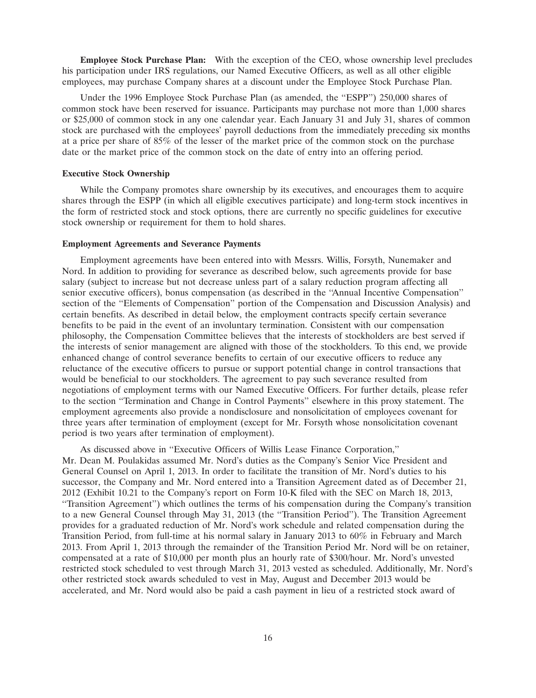**Employee Stock Purchase Plan:** With the exception of the CEO, whose ownership level precludes his participation under IRS regulations, our Named Executive Officers, as well as all other eligible employees, may purchase Company shares at a discount under the Employee Stock Purchase Plan.

Under the 1996 Employee Stock Purchase Plan (as amended, the ''ESPP'') 250,000 shares of common stock have been reserved for issuance. Participants may purchase not more than 1,000 shares or \$25,000 of common stock in any one calendar year. Each January 31 and July 31, shares of common stock are purchased with the employees' payroll deductions from the immediately preceding six months at a price per share of 85% of the lesser of the market price of the common stock on the purchase date or the market price of the common stock on the date of entry into an offering period.

#### **Executive Stock Ownership**

While the Company promotes share ownership by its executives, and encourages them to acquire shares through the ESPP (in which all eligible executives participate) and long-term stock incentives in the form of restricted stock and stock options, there are currently no specific guidelines for executive stock ownership or requirement for them to hold shares.

#### **Employment Agreements and Severance Payments**

Employment agreements have been entered into with Messrs. Willis, Forsyth, Nunemaker and Nord. In addition to providing for severance as described below, such agreements provide for base salary (subject to increase but not decrease unless part of a salary reduction program affecting all senior executive officers), bonus compensation (as described in the ''Annual Incentive Compensation'' section of the ''Elements of Compensation'' portion of the Compensation and Discussion Analysis) and certain benefits. As described in detail below, the employment contracts specify certain severance benefits to be paid in the event of an involuntary termination. Consistent with our compensation philosophy, the Compensation Committee believes that the interests of stockholders are best served if the interests of senior management are aligned with those of the stockholders. To this end, we provide enhanced change of control severance benefits to certain of our executive officers to reduce any reluctance of the executive officers to pursue or support potential change in control transactions that would be beneficial to our stockholders. The agreement to pay such severance resulted from negotiations of employment terms with our Named Executive Officers. For further details, please refer to the section ''Termination and Change in Control Payments'' elsewhere in this proxy statement. The employment agreements also provide a nondisclosure and nonsolicitation of employees covenant for three years after termination of employment (except for Mr. Forsyth whose nonsolicitation covenant period is two years after termination of employment).

As discussed above in ''Executive Officers of Willis Lease Finance Corporation,'' Mr. Dean M. Poulakidas assumed Mr. Nord's duties as the Company's Senior Vice President and General Counsel on April 1, 2013. In order to facilitate the transition of Mr. Nord's duties to his successor, the Company and Mr. Nord entered into a Transition Agreement dated as of December 21, 2012 (Exhibit 10.21 to the Company's report on Form 10-K filed with the SEC on March 18, 2013, ''Transition Agreement'') which outlines the terms of his compensation during the Company's transition to a new General Counsel through May 31, 2013 (the ''Transition Period''). The Transition Agreement provides for a graduated reduction of Mr. Nord's work schedule and related compensation during the Transition Period, from full-time at his normal salary in January 2013 to 60% in February and March 2013. From April 1, 2013 through the remainder of the Transition Period Mr. Nord will be on retainer, compensated at a rate of \$10,000 per month plus an hourly rate of \$300/hour. Mr. Nord's unvested restricted stock scheduled to vest through March 31, 2013 vested as scheduled. Additionally, Mr. Nord's other restricted stock awards scheduled to vest in May, August and December 2013 would be accelerated, and Mr. Nord would also be paid a cash payment in lieu of a restricted stock award of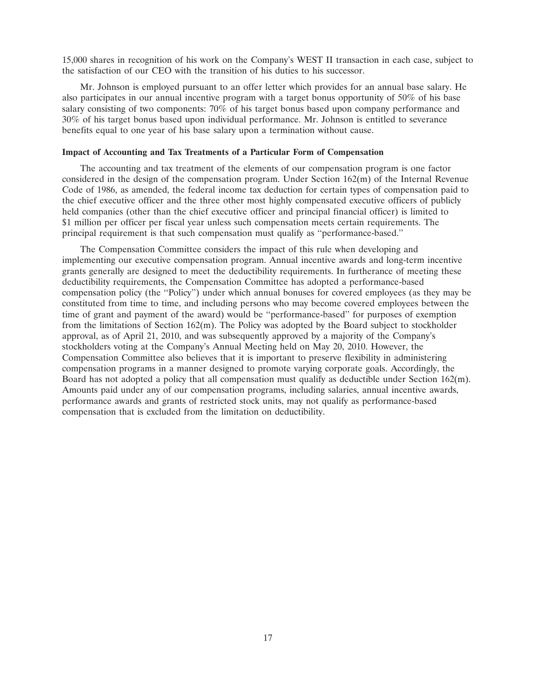15,000 shares in recognition of his work on the Company's WEST II transaction in each case, subject to the satisfaction of our CEO with the transition of his duties to his successor.

Mr. Johnson is employed pursuant to an offer letter which provides for an annual base salary. He also participates in our annual incentive program with a target bonus opportunity of 50% of his base salary consisting of two components:  $70\%$  of his target bonus based upon company performance and 30% of his target bonus based upon individual performance. Mr. Johnson is entitled to severance benefits equal to one year of his base salary upon a termination without cause.

# **Impact of Accounting and Tax Treatments of a Particular Form of Compensation**

The accounting and tax treatment of the elements of our compensation program is one factor considered in the design of the compensation program. Under Section 162(m) of the Internal Revenue Code of 1986, as amended, the federal income tax deduction for certain types of compensation paid to the chief executive officer and the three other most highly compensated executive officers of publicly held companies (other than the chief executive officer and principal financial officer) is limited to \$1 million per officer per fiscal year unless such compensation meets certain requirements. The principal requirement is that such compensation must qualify as ''performance-based.''

The Compensation Committee considers the impact of this rule when developing and implementing our executive compensation program. Annual incentive awards and long-term incentive grants generally are designed to meet the deductibility requirements. In furtherance of meeting these deductibility requirements, the Compensation Committee has adopted a performance-based compensation policy (the ''Policy'') under which annual bonuses for covered employees (as they may be constituted from time to time, and including persons who may become covered employees between the time of grant and payment of the award) would be ''performance-based'' for purposes of exemption from the limitations of Section 162(m). The Policy was adopted by the Board subject to stockholder approval, as of April 21, 2010, and was subsequently approved by a majority of the Company's stockholders voting at the Company's Annual Meeting held on May 20, 2010. However, the Compensation Committee also believes that it is important to preserve flexibility in administering compensation programs in a manner designed to promote varying corporate goals. Accordingly, the Board has not adopted a policy that all compensation must qualify as deductible under Section 162(m). Amounts paid under any of our compensation programs, including salaries, annual incentive awards, performance awards and grants of restricted stock units, may not qualify as performance-based compensation that is excluded from the limitation on deductibility.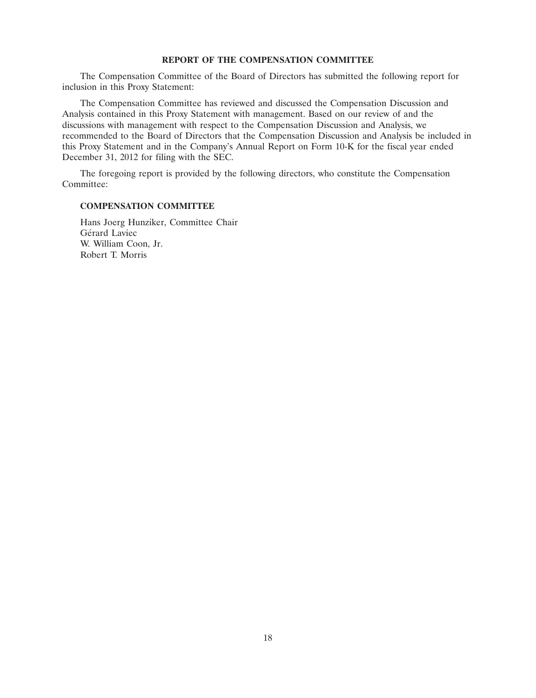# **REPORT OF THE COMPENSATION COMMITTEE**

The Compensation Committee of the Board of Directors has submitted the following report for inclusion in this Proxy Statement:

The Compensation Committee has reviewed and discussed the Compensation Discussion and Analysis contained in this Proxy Statement with management. Based on our review of and the discussions with management with respect to the Compensation Discussion and Analysis, we recommended to the Board of Directors that the Compensation Discussion and Analysis be included in this Proxy Statement and in the Company's Annual Report on Form 10-K for the fiscal year ended December 31, 2012 for filing with the SEC.

The foregoing report is provided by the following directors, who constitute the Compensation Committee:

### **COMPENSATION COMMITTEE**

Hans Joerg Hunziker, Committee Chair Gérard Laviec W. William Coon, Jr. Robert T. Morris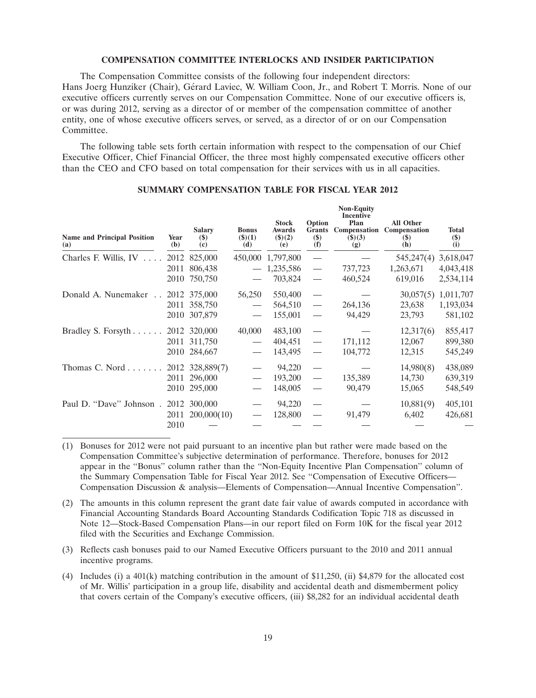#### **COMPENSATION COMMITTEE INTERLOCKS AND INSIDER PARTICIPATION**

The Compensation Committee consists of the following four independent directors: Hans Joerg Hunziker (Chair), Gérard Laviec, W. William Coon, Jr., and Robert T. Morris. None of our executive officers currently serves on our Compensation Committee. None of our executive officers is, or was during 2012, serving as a director of or member of the compensation committee of another entity, one of whose executive officers serves, or served, as a director of or on our Compensation Committee.

The following table sets forth certain information with respect to the compensation of our Chief Executive Officer, Chief Financial Officer, the three most highly compensated executive officers other than the CEO and CFO based on total compensation for their services with us in all capacities.

| <b>Name and Principal Position</b><br>(a) | Year<br>(b) | <b>Salary</b><br>$(\$)$<br>(c) | <b>Bonus</b><br>$($ \$ $)(1)$<br>(d) | <b>Stock</b><br><b>Awards</b><br>(3)(2)<br>(e) | Option<br><b>Grants</b><br>$(\$)$<br>(f) | <b>Non-Equity</b><br><b>Incentive</b><br>Plan<br>Compensation<br>(3)(3)<br>(g) | All Other<br>Compensation<br>$(\$)$<br>(h) | <b>Total</b><br>$(\$)$<br>(i) |
|-------------------------------------------|-------------|--------------------------------|--------------------------------------|------------------------------------------------|------------------------------------------|--------------------------------------------------------------------------------|--------------------------------------------|-------------------------------|
| Charles F. Willis, $IV \dots$             |             | 2012 825,000                   |                                      | 450,000 1,797,800                              |                                          |                                                                                | 545,247(4)                                 | 3,618,047                     |
|                                           | 2011        | 806,438                        |                                      | 1,235,586                                      |                                          | 737,723                                                                        | 1,263,671                                  | 4,043,418                     |
|                                           | 2010        | 750,750                        |                                      | 703,824                                        |                                          | 460,524                                                                        | 619,016                                    | 2,534,114                     |
| Donald A. Nunemaker 2012 375,000          |             |                                | 56,250                               | 550,400                                        |                                          |                                                                                | 30,057(5)                                  | 1,011,707                     |
|                                           |             | 2011 358,750                   |                                      | 564,510                                        | $\overline{\phantom{m}}$                 | 264,136                                                                        | 23,638                                     | 1,193,034                     |
|                                           |             | 2010 307,879                   |                                      | 155,001                                        |                                          | 94,429                                                                         | 23,793                                     | 581,102                       |
| Bradley S. Forsyth 2012 320,000           |             |                                | 40,000                               | 483,100                                        |                                          |                                                                                | 12,317(6)                                  | 855,417                       |
|                                           |             | 2011 311,750                   |                                      | 404,451                                        |                                          | 171,112                                                                        | 12,067                                     | 899,380                       |
|                                           |             | 2010 284,667                   |                                      | 143,495                                        |                                          | 104,772                                                                        | 12,315                                     | 545,249                       |
| Thomas C. Nord 2012 328,889(7)            |             |                                |                                      | 94,220                                         |                                          |                                                                                | 14,980(8)                                  | 438,089                       |
|                                           |             | 2011 296,000                   |                                      | 193,200                                        |                                          | 135,389                                                                        | 14,730                                     | 639,319                       |
|                                           |             | 2010 295,000                   |                                      | 148,005                                        | $\overline{\phantom{0}}$                 | 90,479                                                                         | 15,065                                     | 548,549                       |
| Paul D. "Dave" Johnson.                   |             | 2012 300,000                   |                                      | 94,220                                         |                                          |                                                                                | 10,881(9)                                  | 405,101                       |
|                                           |             | 2011 200,000(10)               |                                      | 128,800                                        |                                          | 91,479                                                                         | 6,402                                      | 426,681                       |
|                                           | 2010        |                                |                                      |                                                |                                          |                                                                                |                                            |                               |

# **SUMMARY COMPENSATION TABLE FOR FISCAL YEAR 2012**

- (1) Bonuses for 2012 were not paid pursuant to an incentive plan but rather were made based on the Compensation Committee's subjective determination of performance. Therefore, bonuses for 2012 appear in the ''Bonus'' column rather than the ''Non-Equity Incentive Plan Compensation'' column of the Summary Compensation Table for Fiscal Year 2012. See ''Compensation of Executive Officers— Compensation Discussion & analysis—Elements of Compensation—Annual Incentive Compensation''.
- (2) The amounts in this column represent the grant date fair value of awards computed in accordance with Financial Accounting Standards Board Accounting Standards Codification Topic 718 as discussed in Note 12—Stock-Based Compensation Plans—in our report filed on Form 10K for the fiscal year 2012 filed with the Securities and Exchange Commission.
- (3) Reflects cash bonuses paid to our Named Executive Officers pursuant to the 2010 and 2011 annual incentive programs.
- (4) Includes (i) a 401(k) matching contribution in the amount of \$11,250, (ii) \$4,879 for the allocated cost of Mr. Willis' participation in a group life, disability and accidental death and dismemberment policy that covers certain of the Company's executive officers, (iii) \$8,282 for an individual accidental death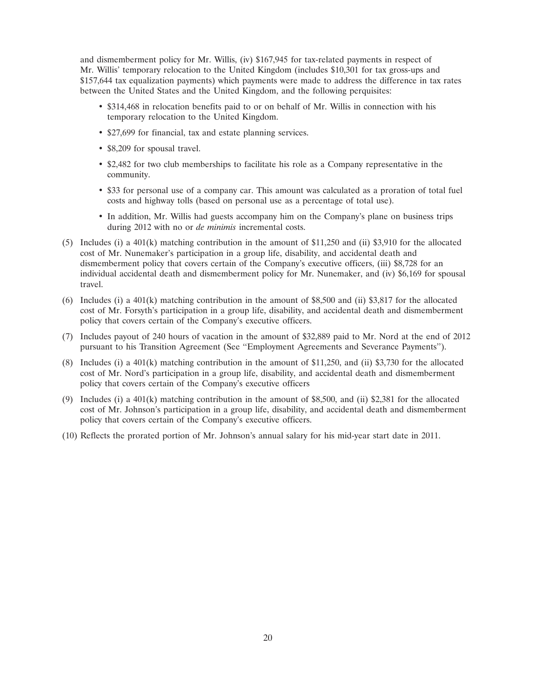and dismemberment policy for Mr. Willis, (iv) \$167,945 for tax-related payments in respect of Mr. Willis' temporary relocation to the United Kingdom (includes \$10,301 for tax gross-ups and \$157,644 tax equalization payments) which payments were made to address the difference in tax rates between the United States and the United Kingdom, and the following perquisites:

- \$314,468 in relocation benefits paid to or on behalf of Mr. Willis in connection with his temporary relocation to the United Kingdom.
- \$27,699 for financial, tax and estate planning services.
- \$8,209 for spousal travel.
- \$2,482 for two club memberships to facilitate his role as a Company representative in the community.
- \$33 for personal use of a company car. This amount was calculated as a proration of total fuel costs and highway tolls (based on personal use as a percentage of total use).
- In addition, Mr. Willis had guests accompany him on the Company's plane on business trips during 2012 with no or *de minimis* incremental costs.
- (5) Includes (i) a 401(k) matching contribution in the amount of \$11,250 and (ii) \$3,910 for the allocated cost of Mr. Nunemaker's participation in a group life, disability, and accidental death and dismemberment policy that covers certain of the Company's executive officers, (iii) \$8,728 for an individual accidental death and dismemberment policy for Mr. Nunemaker, and (iv) \$6,169 for spousal travel.
- (6) Includes (i) a  $401(k)$  matching contribution in the amount of \$8,500 and (ii) \$3,817 for the allocated cost of Mr. Forsyth's participation in a group life, disability, and accidental death and dismemberment policy that covers certain of the Company's executive officers.
- (7) Includes payout of 240 hours of vacation in the amount of \$32,889 paid to Mr. Nord at the end of 2012 pursuant to his Transition Agreement (See ''Employment Agreements and Severance Payments'').
- (8) Includes (i) a 401(k) matching contribution in the amount of \$11,250, and (ii) \$3,730 for the allocated cost of Mr. Nord's participation in a group life, disability, and accidental death and dismemberment policy that covers certain of the Company's executive officers
- (9) Includes (i) a  $401(k)$  matching contribution in the amount of \$8,500, and (ii) \$2,381 for the allocated cost of Mr. Johnson's participation in a group life, disability, and accidental death and dismemberment policy that covers certain of the Company's executive officers.
- (10) Reflects the prorated portion of Mr. Johnson's annual salary for his mid-year start date in 2011.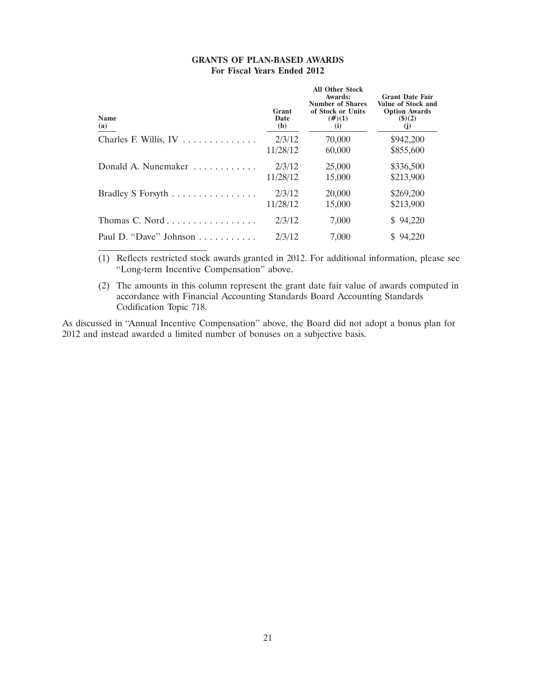| <b>GRANTS OF PLAN-BASED AWARDS</b> |                             |  |
|------------------------------------|-----------------------------|--|
|                                    | For Fiscal Years Ended 2012 |  |

| <b>Name</b><br>(a)     | Grant<br>Date<br>(b) | <b>All Other Stock</b><br>Awards:<br><b>Number of Shares</b><br>of Stock or Units<br>$(\#)(1)$<br>(i) | <b>Grant Date Fair</b><br>Value of Stock and<br><b>Option Awards</b><br>$($ \$ $)(2)$<br>(i) |
|------------------------|----------------------|-------------------------------------------------------------------------------------------------------|----------------------------------------------------------------------------------------------|
|                        | 2/3/12               | 70,000                                                                                                | \$942,200                                                                                    |
|                        | 11/28/12             | 60,000                                                                                                | \$855,600                                                                                    |
| Donald A. Nunemaker    | 2/3/12               | 25,000                                                                                                | \$336,500                                                                                    |
|                        | 11/28/12             | 15,000                                                                                                | \$213,900                                                                                    |
| Bradley S Forsyth      | 2/3/12               | 20,000                                                                                                | \$269,200                                                                                    |
|                        | 11/28/12             | 15,000                                                                                                | \$213,900                                                                                    |
| Thomas C. Nord         | 2/3/12               | 7,000                                                                                                 | 94,220<br>S.                                                                                 |
| Paul D. "Dave" Johnson | 2/3/12               | 7.000                                                                                                 | \$94,220                                                                                     |

(1) Reflects restricted stock awards granted in 2012. For additional information, please see ''Long-term Incentive Compensation'' above.

(2) The amounts in this column represent the grant date fair value of awards computed in accordance with Financial Accounting Standards Board Accounting Standards Codification Topic 718.

As discussed in ''Annual Incentive Compensation'' above, the Board did not adopt a bonus plan for 2012 and instead awarded a limited number of bonuses on a subjective basis.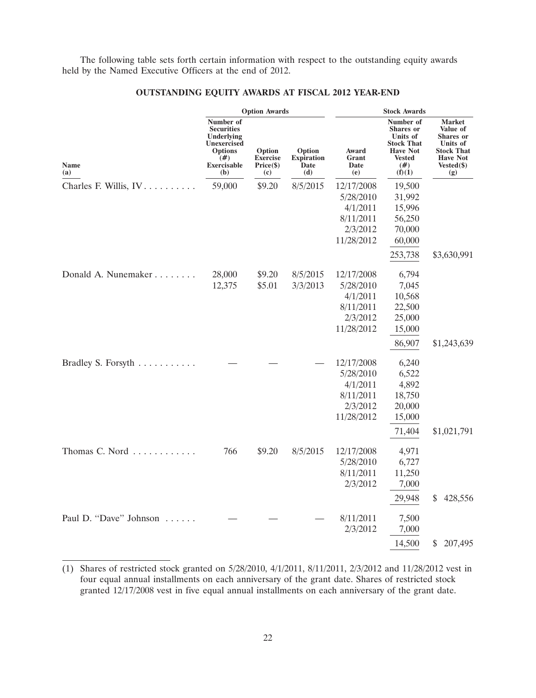The following table sets forth certain information with respect to the outstanding equity awards held by the Named Executive Officers at the end of 2012.

|                        |                                                                                                                             | <b>Option Awards</b>                                                   |                                            | <b>Stock Awards</b>                                                        |                                                                                                                        |                                                                                                                   |  |
|------------------------|-----------------------------------------------------------------------------------------------------------------------------|------------------------------------------------------------------------|--------------------------------------------|----------------------------------------------------------------------------|------------------------------------------------------------------------------------------------------------------------|-------------------------------------------------------------------------------------------------------------------|--|
| Name<br>(a)            | Number of<br><b>Securities</b><br>Underlying<br><b>Unexercised</b><br><b>Options</b><br>$(\#)$<br><b>Exercisable</b><br>(b) | Option<br><b>Exercise</b><br>Price (\$)<br>$\left( \mathbf{c} \right)$ | Option<br><b>Expiration</b><br>Date<br>(d) | Award<br>Grant<br>Date<br>(e)                                              | Number of<br><b>Shares</b> or<br>Units of<br><b>Stock That</b><br><b>Have Not</b><br><b>Vested</b><br>$(\#)$<br>(f)(1) | <b>Market</b><br>Value of<br>Shares or<br>Units of<br><b>Stock That</b><br><b>Have Not</b><br>$Vested(\$)$<br>(g) |  |
| Charles F. Willis, IV. | 59,000                                                                                                                      | \$9.20                                                                 | 8/5/2015                                   | 12/17/2008<br>5/28/2010<br>4/1/2011<br>8/11/2011<br>2/3/2012<br>11/28/2012 | 19,500<br>31,992<br>15,996<br>56,250<br>70,000<br>60,000<br>253,738                                                    | \$3,630,991                                                                                                       |  |
| Donald A. Nunemaker    | 28,000<br>12,375                                                                                                            | \$9.20<br>\$5.01                                                       | 8/5/2015<br>3/3/2013                       | 12/17/2008<br>5/28/2010<br>4/1/2011<br>8/11/2011<br>2/3/2012<br>11/28/2012 | 6,794<br>7,045<br>10,568<br>22,500<br>25,000<br>15,000<br>86,907                                                       | \$1,243,639                                                                                                       |  |
| Bradley S. Forsyth     |                                                                                                                             |                                                                        |                                            | 12/17/2008<br>5/28/2010<br>4/1/2011<br>8/11/2011<br>2/3/2012<br>11/28/2012 | 6,240<br>6,522<br>4,892<br>18,750<br>20,000<br>15,000<br>71,404                                                        | \$1,021,791                                                                                                       |  |
| Thomas C. Nord         | 766                                                                                                                         | \$9.20                                                                 | 8/5/2015                                   | 12/17/2008<br>5/28/2010<br>8/11/2011<br>2/3/2012                           | 4,971<br>6,727<br>11,250<br>7,000<br>29,948                                                                            | 428,556<br>\$                                                                                                     |  |
| Paul D. "Dave" Johnson |                                                                                                                             |                                                                        |                                            | 8/11/2011<br>2/3/2012                                                      | 7,500<br>7,000<br>14,500                                                                                               | 207,495<br>\$                                                                                                     |  |

# **OUTSTANDING EQUITY AWARDS AT FISCAL 2012 YEAR-END**

<sup>(1)</sup> Shares of restricted stock granted on 5/28/2010, 4/1/2011, 8/11/2011, 2/3/2012 and 11/28/2012 vest in four equal annual installments on each anniversary of the grant date. Shares of restricted stock granted 12/17/2008 vest in five equal annual installments on each anniversary of the grant date.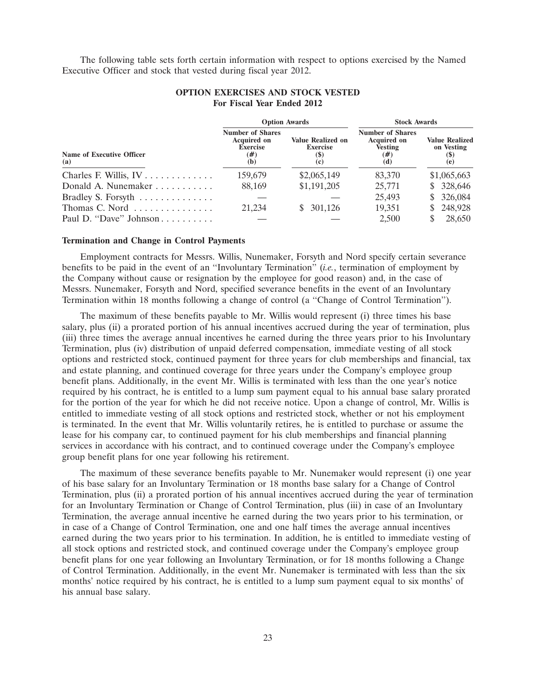The following table sets forth certain information with respect to options exercised by the Named Executive Officer and stock that vested during fiscal year 2012.

|                                  |                                                                                | <b>Option Awards</b>                                                             | <b>Stock Awards</b>                                                           |                                                              |  |
|----------------------------------|--------------------------------------------------------------------------------|----------------------------------------------------------------------------------|-------------------------------------------------------------------------------|--------------------------------------------------------------|--|
| Name of Executive Officer<br>(a) | <b>Number of Shares</b><br><b>Acquired on</b><br><b>Exercise</b><br>(#)<br>(b) | <b>Value Realized on</b><br><b>Exercise</b><br>$\left( \mathbf{S}\right)$<br>(c) | <b>Number of Shares</b><br><b>Acquired on</b><br><b>Vesting</b><br>(#)<br>(d) | <b>Value Realized</b><br>on Vesting<br>$\mathfrak{g}$<br>(e) |  |
|                                  | 159,679                                                                        | \$2,065,149                                                                      | 83,370                                                                        | \$1,065,663                                                  |  |
| Donald A. Nunemaker $\ldots$ ,   | 88,169                                                                         | \$1,191,205                                                                      | 25,771                                                                        | \$328,646                                                    |  |
| Bradley S. Forsyth               |                                                                                |                                                                                  | 25,493                                                                        | \$326,084                                                    |  |
| Thomas C. Nord $\ldots$ ,        | 21.234                                                                         | 301,126<br>S.                                                                    | 19.351                                                                        | 248,928<br>S.                                                |  |
| Paul D. "Dave" Johnson           |                                                                                |                                                                                  | 2.500                                                                         | 28,650                                                       |  |

# **OPTION EXERCISES AND STOCK VESTED For Fiscal Year Ended 2012**

### **Termination and Change in Control Payments**

Employment contracts for Messrs. Willis, Nunemaker, Forsyth and Nord specify certain severance benefits to be paid in the event of an ''Involuntary Termination'' (*i.e.*, termination of employment by the Company without cause or resignation by the employee for good reason) and, in the case of Messrs. Nunemaker, Forsyth and Nord, specified severance benefits in the event of an Involuntary Termination within 18 months following a change of control (a ''Change of Control Termination'').

The maximum of these benefits payable to Mr. Willis would represent (i) three times his base salary, plus (ii) a prorated portion of his annual incentives accrued during the year of termination, plus (iii) three times the average annual incentives he earned during the three years prior to his Involuntary Termination, plus (iv) distribution of unpaid deferred compensation, immediate vesting of all stock options and restricted stock, continued payment for three years for club memberships and financial, tax and estate planning, and continued coverage for three years under the Company's employee group benefit plans. Additionally, in the event Mr. Willis is terminated with less than the one year's notice required by his contract, he is entitled to a lump sum payment equal to his annual base salary prorated for the portion of the year for which he did not receive notice. Upon a change of control, Mr. Willis is entitled to immediate vesting of all stock options and restricted stock, whether or not his employment is terminated. In the event that Mr. Willis voluntarily retires, he is entitled to purchase or assume the lease for his company car, to continued payment for his club memberships and financial planning services in accordance with his contract, and to continued coverage under the Company's employee group benefit plans for one year following his retirement.

The maximum of these severance benefits payable to Mr. Nunemaker would represent (i) one year of his base salary for an Involuntary Termination or 18 months base salary for a Change of Control Termination, plus (ii) a prorated portion of his annual incentives accrued during the year of termination for an Involuntary Termination or Change of Control Termination, plus (iii) in case of an Involuntary Termination, the average annual incentive he earned during the two years prior to his termination, or in case of a Change of Control Termination, one and one half times the average annual incentives earned during the two years prior to his termination. In addition, he is entitled to immediate vesting of all stock options and restricted stock, and continued coverage under the Company's employee group benefit plans for one year following an Involuntary Termination, or for 18 months following a Change of Control Termination. Additionally, in the event Mr. Nunemaker is terminated with less than the six months' notice required by his contract, he is entitled to a lump sum payment equal to six months' of his annual base salary.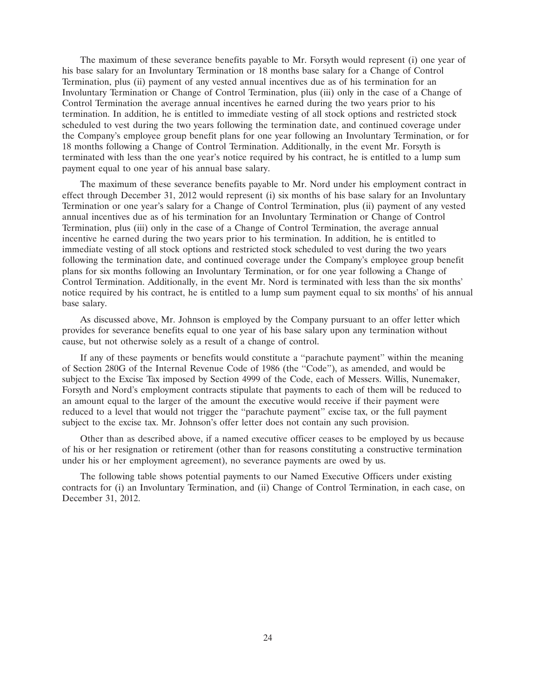The maximum of these severance benefits payable to Mr. Forsyth would represent (i) one year of his base salary for an Involuntary Termination or 18 months base salary for a Change of Control Termination, plus (ii) payment of any vested annual incentives due as of his termination for an Involuntary Termination or Change of Control Termination, plus (iii) only in the case of a Change of Control Termination the average annual incentives he earned during the two years prior to his termination. In addition, he is entitled to immediate vesting of all stock options and restricted stock scheduled to vest during the two years following the termination date, and continued coverage under the Company's employee group benefit plans for one year following an Involuntary Termination, or for 18 months following a Change of Control Termination. Additionally, in the event Mr. Forsyth is terminated with less than the one year's notice required by his contract, he is entitled to a lump sum payment equal to one year of his annual base salary.

The maximum of these severance benefits payable to Mr. Nord under his employment contract in effect through December 31, 2012 would represent (i) six months of his base salary for an Involuntary Termination or one year's salary for a Change of Control Termination, plus (ii) payment of any vested annual incentives due as of his termination for an Involuntary Termination or Change of Control Termination, plus (iii) only in the case of a Change of Control Termination, the average annual incentive he earned during the two years prior to his termination. In addition, he is entitled to immediate vesting of all stock options and restricted stock scheduled to vest during the two years following the termination date, and continued coverage under the Company's employee group benefit plans for six months following an Involuntary Termination, or for one year following a Change of Control Termination. Additionally, in the event Mr. Nord is terminated with less than the six months' notice required by his contract, he is entitled to a lump sum payment equal to six months' of his annual base salary.

As discussed above, Mr. Johnson is employed by the Company pursuant to an offer letter which provides for severance benefits equal to one year of his base salary upon any termination without cause, but not otherwise solely as a result of a change of control.

If any of these payments or benefits would constitute a ''parachute payment'' within the meaning of Section 280G of the Internal Revenue Code of 1986 (the ''Code''), as amended, and would be subject to the Excise Tax imposed by Section 4999 of the Code, each of Messers. Willis, Nunemaker, Forsyth and Nord's employment contracts stipulate that payments to each of them will be reduced to an amount equal to the larger of the amount the executive would receive if their payment were reduced to a level that would not trigger the ''parachute payment'' excise tax, or the full payment subject to the excise tax. Mr. Johnson's offer letter does not contain any such provision.

Other than as described above, if a named executive officer ceases to be employed by us because of his or her resignation or retirement (other than for reasons constituting a constructive termination under his or her employment agreement), no severance payments are owed by us.

The following table shows potential payments to our Named Executive Officers under existing contracts for (i) an Involuntary Termination, and (ii) Change of Control Termination, in each case, on December 31, 2012.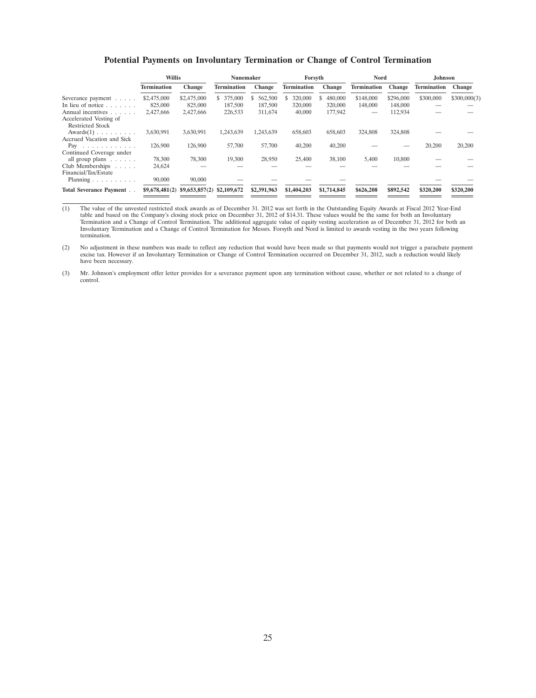### **Potential Payments on Involuntary Termination or Change of Control Termination**

|                                                   | <b>Willis</b>      |                             | Nunemaker     |               | Forsyth            |               | Nord               |           | Johnson            |              |
|---------------------------------------------------|--------------------|-----------------------------|---------------|---------------|--------------------|---------------|--------------------|-----------|--------------------|--------------|
|                                                   | <b>Termination</b> | Change                      | Termination   | <b>Change</b> | <b>Termination</b> | Change        | <b>Termination</b> | Change    | <b>Termination</b> | Change       |
| Severance payment                                 | \$2,475,000        | \$2,475,000                 | 375,000<br>S. | \$ 562,500    | 320,000            | 480,000<br>S. | \$148,000          | \$296,000 | \$300,000          | \$300,000(3) |
| In lieu of notice $\ldots$                        | 825,000            | 825,000                     | 187,500       | 187,500       | 320,000            | 320,000       | 148,000            | 148,000   |                    |              |
| Annual incentives                                 | 2,427,666          | 2,427,666                   | 226,533       | 311,674       | 40,000             | 177,942       | -                  | 112,934   |                    |              |
| Accelerated Vesting of<br><b>Restricted Stock</b> |                    |                             |               |               |                    |               |                    |           |                    |              |
| $Awards(1) \ldots \ldots \ldots$                  | 3,630,991          | 3.630.991                   | 1.243.639     | 1.243.639     | 658,603            | 658,603       | 324,808            | 324,808   |                    |              |
| Accrued Vacation and Sick                         |                    |                             |               |               |                    |               |                    |           |                    |              |
| Pay $\ldots$                                      | 126,900            | 126,900                     | 57,700        | 57,700        | 40,200             | 40,200        |                    |           | 20,200             | 20,200       |
| Continued Coverage under                          |                    |                             |               |               |                    |               |                    |           |                    |              |
| all group plans $\ldots$                          | 78,300             | 78,300                      | 19,300        | 28,950        | 25,400             | 38,100        | 5,400              | 10,800    |                    |              |
| Club Memberships $\ldots$ .                       | 24,624             |                             |               |               |                    |               |                    |           |                    |              |
| Financial/Tax/Estate                              |                    |                             |               |               |                    |               |                    |           |                    |              |
| Planning $\ldots \ldots \ldots$                   | 90,000             | 90,000                      |               |               |                    |               |                    |           |                    |              |
| <b>Total Severance Payment.</b>                   | \$9,678,481(2)     | $$9,653,857(2)$ \$2,109,672 |               | \$2,391,963   | \$1,404,203        | \$1,714,845   | \$626,208          | \$892,542 | \$320,200          | \$320,200    |

(1) The value of the unvested restricted stock awards as of December 31. 2012 was set forth in the Outstanding Equity Awards at Fiscal 2012 Year-End table and based on the Company's closing stock price on December 31, 2012 of \$14.31. These values would be the same for both an Involuntary<br>Termination and a Change of Control Termination. The additional aggregate value of termination.

(2) No adjustment in these numbers was made to reflect any reduction that would have been made so that payments would not trigger a parachute payment<br>excise tax. However if an Involuntary Termination or Change of Control T have been necessary.

(3) Mr. Johnson's employment offer letter provides for a severance payment upon any termination without cause, whether or not related to a change of control.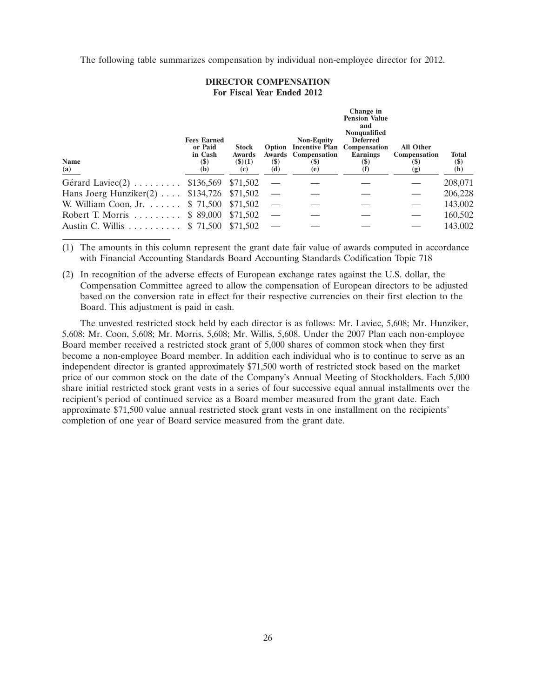The following table summarizes compensation by individual non-employee director for 2012.

# **DIRECTOR COMPENSATION For Fiscal Year Ended 2012**

| <b>Name</b><br>(a)                           | <b>Fees Earned</b><br>or Paid<br>in Cash<br>(\$)<br>(b) | <b>Stock</b><br>Awards<br>$($ \$ $)(1)$<br>(c) | <b>(\$)</b><br>(d) | <b>Non-Equity</b><br><b>Option Incentive Plan Compensation</b><br><b>Awards</b> Compensation<br>(S)<br>(e) | Change in<br><b>Pension Value</b><br>and<br><b>Nonqualified</b><br><b>Deferred</b><br><b>Earnings</b><br>$\left( \mathcal{S} \right)$<br>$\mathbf{(f)}$ | All Other<br><b>Compensation</b><br>(\$)<br>(g) | <b>Total</b><br>$(\$)$<br>(h) |
|----------------------------------------------|---------------------------------------------------------|------------------------------------------------|--------------------|------------------------------------------------------------------------------------------------------------|---------------------------------------------------------------------------------------------------------------------------------------------------------|-------------------------------------------------|-------------------------------|
| Gérard Laviec $(2)$                          | \$136,569                                               | \$71,502                                       |                    |                                                                                                            |                                                                                                                                                         |                                                 | 208,071                       |
| Hans Joerg Hunziker $(2)$ \$134,726          |                                                         | \$71,502                                       |                    |                                                                                                            |                                                                                                                                                         |                                                 | 206,228                       |
| W. William Coon, Jr. $\dots \dots$ \$ 71,500 |                                                         | \$71,502                                       |                    |                                                                                                            |                                                                                                                                                         |                                                 | 143,002                       |
| Robert T. Morris                             | \$ 89,000                                               | \$71,502                                       |                    |                                                                                                            |                                                                                                                                                         |                                                 | 160,502                       |
| Austin C. Willis                             | \$ 71,500                                               | \$71,502                                       |                    |                                                                                                            |                                                                                                                                                         |                                                 | 143,002                       |

(1) The amounts in this column represent the grant date fair value of awards computed in accordance with Financial Accounting Standards Board Accounting Standards Codification Topic 718

(2) In recognition of the adverse effects of European exchange rates against the U.S. dollar, the Compensation Committee agreed to allow the compensation of European directors to be adjusted based on the conversion rate in effect for their respective currencies on their first election to the Board. This adjustment is paid in cash.

The unvested restricted stock held by each director is as follows: Mr. Laviec, 5,608; Mr. Hunziker, 5,608; Mr. Coon, 5,608; Mr. Morris, 5,608; Mr. Willis, 5,608. Under the 2007 Plan each non-employee Board member received a restricted stock grant of 5,000 shares of common stock when they first become a non-employee Board member. In addition each individual who is to continue to serve as an independent director is granted approximately \$71,500 worth of restricted stock based on the market price of our common stock on the date of the Company's Annual Meeting of Stockholders. Each 5,000 share initial restricted stock grant vests in a series of four successive equal annual installments over the recipient's period of continued service as a Board member measured from the grant date. Each approximate \$71,500 value annual restricted stock grant vests in one installment on the recipients' completion of one year of Board service measured from the grant date.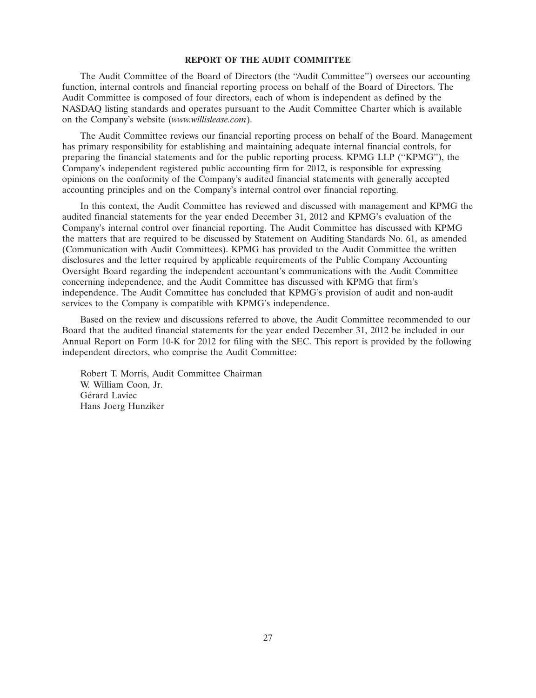# **REPORT OF THE AUDIT COMMITTEE**

The Audit Committee of the Board of Directors (the ''Audit Committee'') oversees our accounting function, internal controls and financial reporting process on behalf of the Board of Directors. The Audit Committee is composed of four directors, each of whom is independent as defined by the NASDAQ listing standards and operates pursuant to the Audit Committee Charter which is available on the Company's website (*www.willislease.com*).

The Audit Committee reviews our financial reporting process on behalf of the Board. Management has primary responsibility for establishing and maintaining adequate internal financial controls, for preparing the financial statements and for the public reporting process. KPMG LLP (''KPMG''), the Company's independent registered public accounting firm for 2012, is responsible for expressing opinions on the conformity of the Company's audited financial statements with generally accepted accounting principles and on the Company's internal control over financial reporting.

In this context, the Audit Committee has reviewed and discussed with management and KPMG the audited financial statements for the year ended December 31, 2012 and KPMG's evaluation of the Company's internal control over financial reporting. The Audit Committee has discussed with KPMG the matters that are required to be discussed by Statement on Auditing Standards No. 61, as amended (Communication with Audit Committees). KPMG has provided to the Audit Committee the written disclosures and the letter required by applicable requirements of the Public Company Accounting Oversight Board regarding the independent accountant's communications with the Audit Committee concerning independence, and the Audit Committee has discussed with KPMG that firm's independence. The Audit Committee has concluded that KPMG's provision of audit and non-audit services to the Company is compatible with KPMG's independence.

Based on the review and discussions referred to above, the Audit Committee recommended to our Board that the audited financial statements for the year ended December 31, 2012 be included in our Annual Report on Form 10-K for 2012 for filing with the SEC. This report is provided by the following independent directors, who comprise the Audit Committee:

Robert T. Morris, Audit Committee Chairman W. William Coon, Jr. Gérard Laviec Hans Joerg Hunziker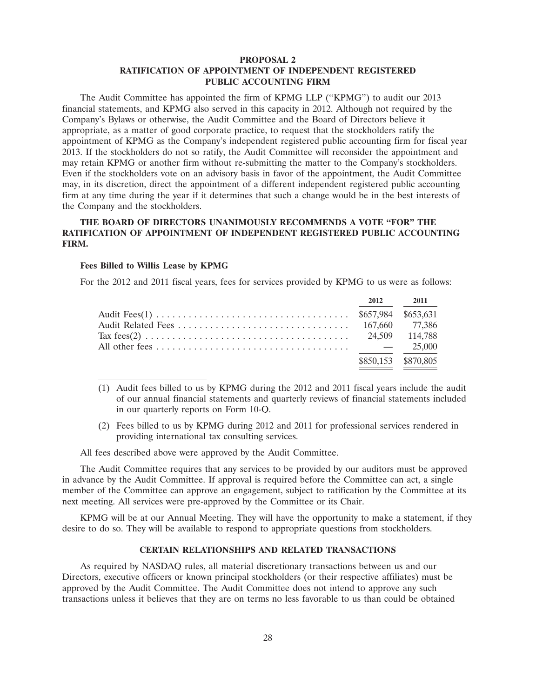# **PROPOSAL 2 RATIFICATION OF APPOINTMENT OF INDEPENDENT REGISTERED PUBLIC ACCOUNTING FIRM**

The Audit Committee has appointed the firm of KPMG LLP (''KPMG'') to audit our 2013 financial statements, and KPMG also served in this capacity in 2012. Although not required by the Company's Bylaws or otherwise, the Audit Committee and the Board of Directors believe it appropriate, as a matter of good corporate practice, to request that the stockholders ratify the appointment of KPMG as the Company's independent registered public accounting firm for fiscal year 2013. If the stockholders do not so ratify, the Audit Committee will reconsider the appointment and may retain KPMG or another firm without re-submitting the matter to the Company's stockholders. Even if the stockholders vote on an advisory basis in favor of the appointment, the Audit Committee may, in its discretion, direct the appointment of a different independent registered public accounting firm at any time during the year if it determines that such a change would be in the best interests of the Company and the stockholders.

# **THE BOARD OF DIRECTORS UNANIMOUSLY RECOMMENDS A VOTE ''FOR'' THE RATIFICATION OF APPOINTMENT OF INDEPENDENT REGISTERED PUBLIC ACCOUNTING FIRM.**

#### **Fees Billed to Willis Lease by KPMG**

For the 2012 and 2011 fiscal years, fees for services provided by KPMG to us were as follows:

|  | 2012 2011           |
|--|---------------------|
|  |                     |
|  |                     |
|  |                     |
|  |                     |
|  | \$850,153 \$870,805 |

- (1) Audit fees billed to us by KPMG during the 2012 and 2011 fiscal years include the audit of our annual financial statements and quarterly reviews of financial statements included in our quarterly reports on Form 10-Q.
- (2) Fees billed to us by KPMG during 2012 and 2011 for professional services rendered in providing international tax consulting services.

All fees described above were approved by the Audit Committee.

The Audit Committee requires that any services to be provided by our auditors must be approved in advance by the Audit Committee. If approval is required before the Committee can act, a single member of the Committee can approve an engagement, subject to ratification by the Committee at its next meeting. All services were pre-approved by the Committee or its Chair.

KPMG will be at our Annual Meeting. They will have the opportunity to make a statement, if they desire to do so. They will be available to respond to appropriate questions from stockholders.

# **CERTAIN RELATIONSHIPS AND RELATED TRANSACTIONS**

As required by NASDAQ rules, all material discretionary transactions between us and our Directors, executive officers or known principal stockholders (or their respective affiliates) must be approved by the Audit Committee. The Audit Committee does not intend to approve any such transactions unless it believes that they are on terms no less favorable to us than could be obtained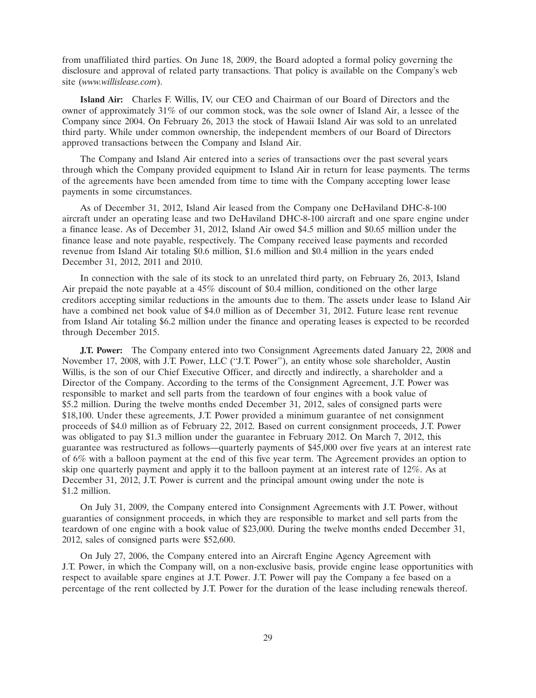from unaffiliated third parties. On June 18, 2009, the Board adopted a formal policy governing the disclosure and approval of related party transactions. That policy is available on the Company's web site (*www.willislease.com*).

**Island Air:** Charles F. Willis, IV, our CEO and Chairman of our Board of Directors and the owner of approximately 31% of our common stock, was the sole owner of Island Air, a lessee of the Company since 2004. On February 26, 2013 the stock of Hawaii Island Air was sold to an unrelated third party. While under common ownership, the independent members of our Board of Directors approved transactions between the Company and Island Air.

The Company and Island Air entered into a series of transactions over the past several years through which the Company provided equipment to Island Air in return for lease payments. The terms of the agreements have been amended from time to time with the Company accepting lower lease payments in some circumstances.

As of December 31, 2012, Island Air leased from the Company one DeHaviland DHC-8-100 aircraft under an operating lease and two DeHaviland DHC-8-100 aircraft and one spare engine under a finance lease. As of December 31, 2012, Island Air owed \$4.5 million and \$0.65 million under the finance lease and note payable, respectively. The Company received lease payments and recorded revenue from Island Air totaling \$0.6 million, \$1.6 million and \$0.4 million in the years ended December 31, 2012, 2011 and 2010.

In connection with the sale of its stock to an unrelated third party, on February 26, 2013, Island Air prepaid the note payable at a 45% discount of \$0.4 million, conditioned on the other large creditors accepting similar reductions in the amounts due to them. The assets under lease to Island Air have a combined net book value of \$4.0 million as of December 31, 2012. Future lease rent revenue from Island Air totaling \$6.2 million under the finance and operating leases is expected to be recorded through December 2015.

**J.T. Power:** The Company entered into two Consignment Agreements dated January 22, 2008 and November 17, 2008, with J.T. Power, LLC (''J.T. Power''), an entity whose sole shareholder, Austin Willis, is the son of our Chief Executive Officer, and directly and indirectly, a shareholder and a Director of the Company. According to the terms of the Consignment Agreement, J.T. Power was responsible to market and sell parts from the teardown of four engines with a book value of \$5.2 million. During the twelve months ended December 31, 2012, sales of consigned parts were \$18,100. Under these agreements, J.T. Power provided a minimum guarantee of net consignment proceeds of \$4.0 million as of February 22, 2012. Based on current consignment proceeds, J.T. Power was obligated to pay \$1.3 million under the guarantee in February 2012. On March 7, 2012, this guarantee was restructured as follows—quarterly payments of \$45,000 over five years at an interest rate of 6% with a balloon payment at the end of this five year term. The Agreement provides an option to skip one quarterly payment and apply it to the balloon payment at an interest rate of 12%. As at December 31, 2012, J.T. Power is current and the principal amount owing under the note is \$1.2 million.

On July 31, 2009, the Company entered into Consignment Agreements with J.T. Power, without guaranties of consignment proceeds, in which they are responsible to market and sell parts from the teardown of one engine with a book value of \$23,000. During the twelve months ended December 31, 2012, sales of consigned parts were \$52,600.

On July 27, 2006, the Company entered into an Aircraft Engine Agency Agreement with J.T. Power, in which the Company will, on a non-exclusive basis, provide engine lease opportunities with respect to available spare engines at J.T. Power. J.T. Power will pay the Company a fee based on a percentage of the rent collected by J.T. Power for the duration of the lease including renewals thereof.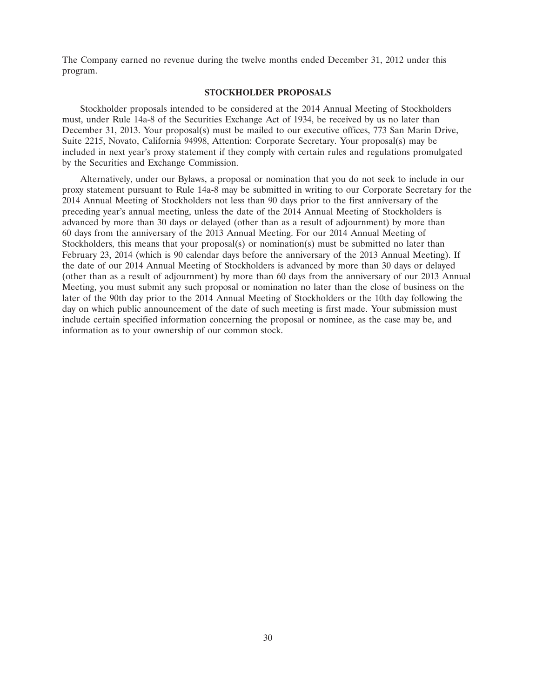The Company earned no revenue during the twelve months ended December 31, 2012 under this program.

# **STOCKHOLDER PROPOSALS**

Stockholder proposals intended to be considered at the 2014 Annual Meeting of Stockholders must, under Rule 14a-8 of the Securities Exchange Act of 1934, be received by us no later than December 31, 2013. Your proposal(s) must be mailed to our executive offices, 773 San Marin Drive, Suite 2215, Novato, California 94998, Attention: Corporate Secretary. Your proposal(s) may be included in next year's proxy statement if they comply with certain rules and regulations promulgated by the Securities and Exchange Commission.

Alternatively, under our Bylaws, a proposal or nomination that you do not seek to include in our proxy statement pursuant to Rule 14a-8 may be submitted in writing to our Corporate Secretary for the 2014 Annual Meeting of Stockholders not less than 90 days prior to the first anniversary of the preceding year's annual meeting, unless the date of the 2014 Annual Meeting of Stockholders is advanced by more than 30 days or delayed (other than as a result of adjournment) by more than 60 days from the anniversary of the 2013 Annual Meeting. For our 2014 Annual Meeting of Stockholders, this means that your proposal(s) or nomination(s) must be submitted no later than February 23, 2014 (which is 90 calendar days before the anniversary of the 2013 Annual Meeting). If the date of our 2014 Annual Meeting of Stockholders is advanced by more than 30 days or delayed (other than as a result of adjournment) by more than 60 days from the anniversary of our 2013 Annual Meeting, you must submit any such proposal or nomination no later than the close of business on the later of the 90th day prior to the 2014 Annual Meeting of Stockholders or the 10th day following the day on which public announcement of the date of such meeting is first made. Your submission must include certain specified information concerning the proposal or nominee, as the case may be, and information as to your ownership of our common stock.